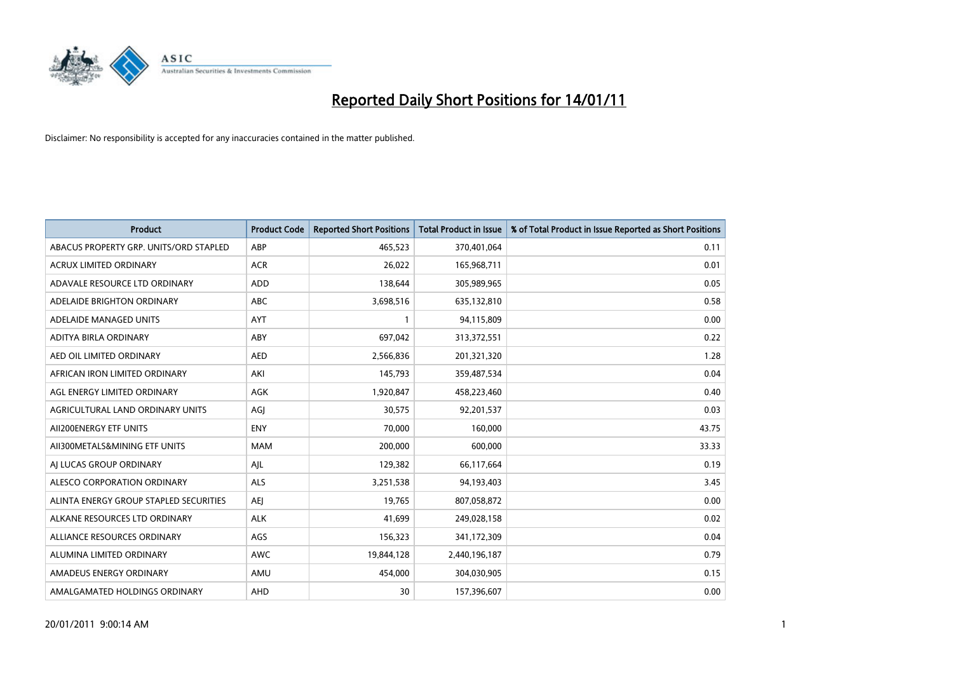

| <b>Product</b>                         | <b>Product Code</b> | <b>Reported Short Positions</b> | Total Product in Issue | % of Total Product in Issue Reported as Short Positions |
|----------------------------------------|---------------------|---------------------------------|------------------------|---------------------------------------------------------|
| ABACUS PROPERTY GRP. UNITS/ORD STAPLED | ABP                 | 465,523                         | 370,401,064            | 0.11                                                    |
| ACRUX LIMITED ORDINARY                 | <b>ACR</b>          | 26,022                          | 165,968,711            | 0.01                                                    |
| ADAVALE RESOURCE LTD ORDINARY          | <b>ADD</b>          | 138,644                         | 305,989,965            | 0.05                                                    |
| ADELAIDE BRIGHTON ORDINARY             | <b>ABC</b>          | 3,698,516                       | 635,132,810            | 0.58                                                    |
| ADELAIDE MANAGED UNITS                 | <b>AYT</b>          |                                 | 94,115,809             | 0.00                                                    |
| ADITYA BIRLA ORDINARY                  | ABY                 | 697,042                         | 313,372,551            | 0.22                                                    |
| AED OIL LIMITED ORDINARY               | <b>AED</b>          | 2,566,836                       | 201,321,320            | 1.28                                                    |
| AFRICAN IRON LIMITED ORDINARY          | AKI                 | 145,793                         | 359,487,534            | 0.04                                                    |
| AGL ENERGY LIMITED ORDINARY            | AGK                 | 1,920,847                       | 458,223,460            | 0.40                                                    |
| AGRICULTURAL LAND ORDINARY UNITS       | AGJ                 | 30,575                          | 92,201,537             | 0.03                                                    |
| AII200ENERGY ETF UNITS                 | <b>ENY</b>          | 70,000                          | 160,000                | 43.75                                                   |
| AII300METALS&MINING ETF UNITS          | <b>MAM</b>          | 200,000                         | 600,000                | 33.33                                                   |
| AI LUCAS GROUP ORDINARY                | AJL                 | 129,382                         | 66,117,664             | 0.19                                                    |
| ALESCO CORPORATION ORDINARY            | <b>ALS</b>          | 3,251,538                       | 94,193,403             | 3.45                                                    |
| ALINTA ENERGY GROUP STAPLED SECURITIES | <b>AEI</b>          | 19,765                          | 807,058,872            | 0.00                                                    |
| ALKANE RESOURCES LTD ORDINARY          | <b>ALK</b>          | 41,699                          | 249,028,158            | 0.02                                                    |
| ALLIANCE RESOURCES ORDINARY            | AGS                 | 156,323                         | 341,172,309            | 0.04                                                    |
| ALUMINA LIMITED ORDINARY               | <b>AWC</b>          | 19,844,128                      | 2,440,196,187          | 0.79                                                    |
| AMADEUS ENERGY ORDINARY                | AMU                 | 454,000                         | 304,030,905            | 0.15                                                    |
| AMALGAMATED HOLDINGS ORDINARY          | AHD                 | 30                              | 157,396,607            | 0.00                                                    |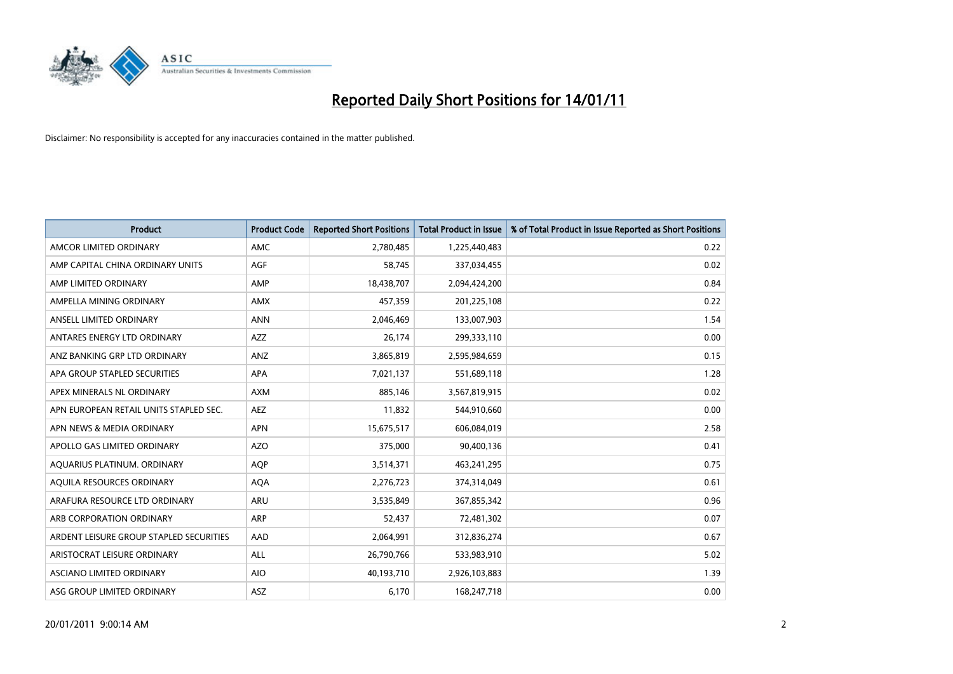

| <b>Product</b>                          | <b>Product Code</b> | <b>Reported Short Positions</b> | Total Product in Issue | % of Total Product in Issue Reported as Short Positions |
|-----------------------------------------|---------------------|---------------------------------|------------------------|---------------------------------------------------------|
| AMCOR LIMITED ORDINARY                  | <b>AMC</b>          | 2,780,485                       | 1,225,440,483          | 0.22                                                    |
| AMP CAPITAL CHINA ORDINARY UNITS        | <b>AGF</b>          | 58.745                          | 337,034,455            | 0.02                                                    |
| AMP LIMITED ORDINARY                    | AMP                 | 18,438,707                      | 2,094,424,200          | 0.84                                                    |
| AMPELLA MINING ORDINARY                 | <b>AMX</b>          | 457,359                         | 201,225,108            | 0.22                                                    |
| ANSELL LIMITED ORDINARY                 | <b>ANN</b>          | 2,046,469                       | 133,007,903            | 1.54                                                    |
| ANTARES ENERGY LTD ORDINARY             | <b>AZZ</b>          | 26,174                          | 299,333,110            | 0.00                                                    |
| ANZ BANKING GRP LTD ORDINARY            | ANZ                 | 3,865,819                       | 2,595,984,659          | 0.15                                                    |
| APA GROUP STAPLED SECURITIES            | <b>APA</b>          | 7,021,137                       | 551,689,118            | 1.28                                                    |
| APEX MINERALS NL ORDINARY               | <b>AXM</b>          | 885,146                         | 3,567,819,915          | 0.02                                                    |
| APN EUROPEAN RETAIL UNITS STAPLED SEC.  | <b>AEZ</b>          | 11,832                          | 544,910,660            | 0.00                                                    |
| APN NEWS & MEDIA ORDINARY               | <b>APN</b>          | 15,675,517                      | 606,084,019            | 2.58                                                    |
| APOLLO GAS LIMITED ORDINARY             | <b>AZO</b>          | 375,000                         | 90,400,136             | 0.41                                                    |
| AQUARIUS PLATINUM. ORDINARY             | <b>AOP</b>          | 3,514,371                       | 463,241,295            | 0.75                                                    |
| AOUILA RESOURCES ORDINARY               | <b>AQA</b>          | 2,276,723                       | 374,314,049            | 0.61                                                    |
| ARAFURA RESOURCE LTD ORDINARY           | <b>ARU</b>          | 3,535,849                       | 367,855,342            | 0.96                                                    |
| ARB CORPORATION ORDINARY                | <b>ARP</b>          | 52,437                          | 72,481,302             | 0.07                                                    |
| ARDENT LEISURE GROUP STAPLED SECURITIES | AAD                 | 2,064,991                       | 312,836,274            | 0.67                                                    |
| ARISTOCRAT LEISURE ORDINARY             | ALL                 | 26,790,766                      | 533,983,910            | 5.02                                                    |
| <b>ASCIANO LIMITED ORDINARY</b>         | <b>AIO</b>          | 40,193,710                      | 2,926,103,883          | 1.39                                                    |
| ASG GROUP LIMITED ORDINARY              | <b>ASZ</b>          | 6,170                           | 168,247,718            | 0.00                                                    |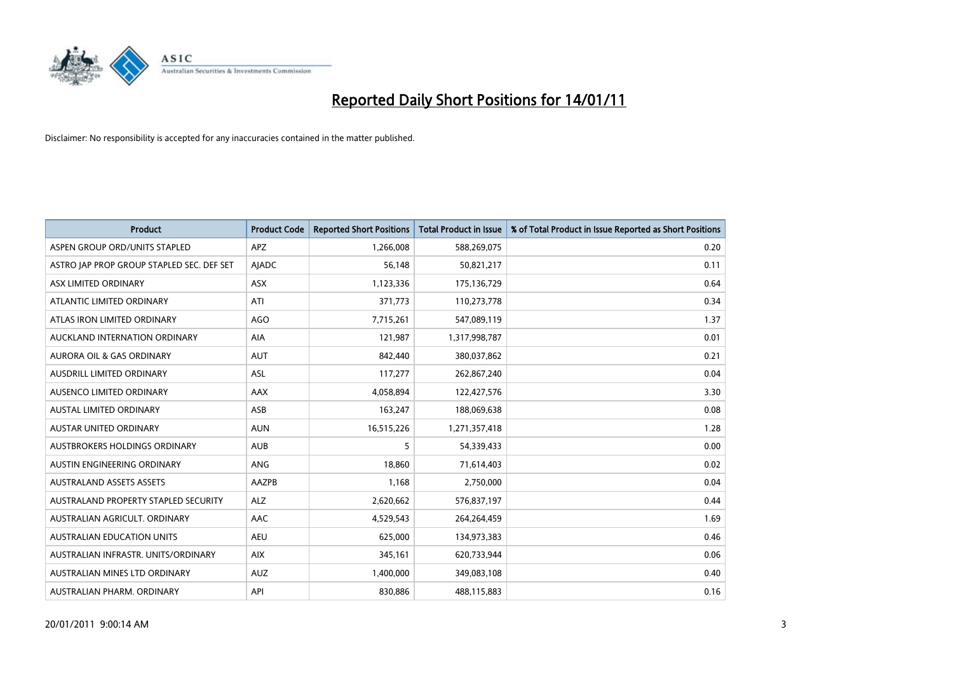

| <b>Product</b>                            | <b>Product Code</b> | <b>Reported Short Positions</b> | Total Product in Issue | % of Total Product in Issue Reported as Short Positions |
|-------------------------------------------|---------------------|---------------------------------|------------------------|---------------------------------------------------------|
| ASPEN GROUP ORD/UNITS STAPLED             | <b>APZ</b>          | 1,266,008                       | 588,269,075            | 0.20                                                    |
| ASTRO JAP PROP GROUP STAPLED SEC. DEF SET | <b>AJADC</b>        | 56,148                          | 50,821,217             | 0.11                                                    |
| ASX LIMITED ORDINARY                      | <b>ASX</b>          | 1,123,336                       | 175,136,729            | 0.64                                                    |
| ATLANTIC LIMITED ORDINARY                 | ATI                 | 371,773                         | 110,273,778            | 0.34                                                    |
| ATLAS IRON LIMITED ORDINARY               | AGO                 | 7,715,261                       | 547,089,119            | 1.37                                                    |
| AUCKLAND INTERNATION ORDINARY             | <b>AIA</b>          | 121,987                         | 1,317,998,787          | 0.01                                                    |
| AURORA OIL & GAS ORDINARY                 | <b>AUT</b>          | 842,440                         | 380,037,862            | 0.21                                                    |
| AUSDRILL LIMITED ORDINARY                 | ASL                 | 117,277                         | 262,867,240            | 0.04                                                    |
| AUSENCO LIMITED ORDINARY                  | <b>AAX</b>          | 4,058,894                       | 122,427,576            | 3.30                                                    |
| <b>AUSTAL LIMITED ORDINARY</b>            | ASB                 | 163,247                         | 188,069,638            | 0.08                                                    |
| AUSTAR UNITED ORDINARY                    | <b>AUN</b>          | 16,515,226                      | 1,271,357,418          | 1.28                                                    |
| AUSTBROKERS HOLDINGS ORDINARY             | <b>AUB</b>          | 5                               | 54,339,433             | 0.00                                                    |
| AUSTIN ENGINEERING ORDINARY               | ANG                 | 18,860                          | 71,614,403             | 0.02                                                    |
| <b>AUSTRALAND ASSETS ASSETS</b>           | AAZPB               | 1,168                           | 2,750,000              | 0.04                                                    |
| AUSTRALAND PROPERTY STAPLED SECURITY      | <b>ALZ</b>          | 2,620,662                       | 576,837,197            | 0.44                                                    |
| AUSTRALIAN AGRICULT. ORDINARY             | AAC                 | 4,529,543                       | 264,264,459            | 1.69                                                    |
| AUSTRALIAN EDUCATION UNITS                | <b>AEU</b>          | 625,000                         | 134,973,383            | 0.46                                                    |
| AUSTRALIAN INFRASTR. UNITS/ORDINARY       | <b>AIX</b>          | 345,161                         | 620,733,944            | 0.06                                                    |
| AUSTRALIAN MINES LTD ORDINARY             | <b>AUZ</b>          | 1,400,000                       | 349,083,108            | 0.40                                                    |
| AUSTRALIAN PHARM. ORDINARY                | API                 | 830,886                         | 488,115,883            | 0.16                                                    |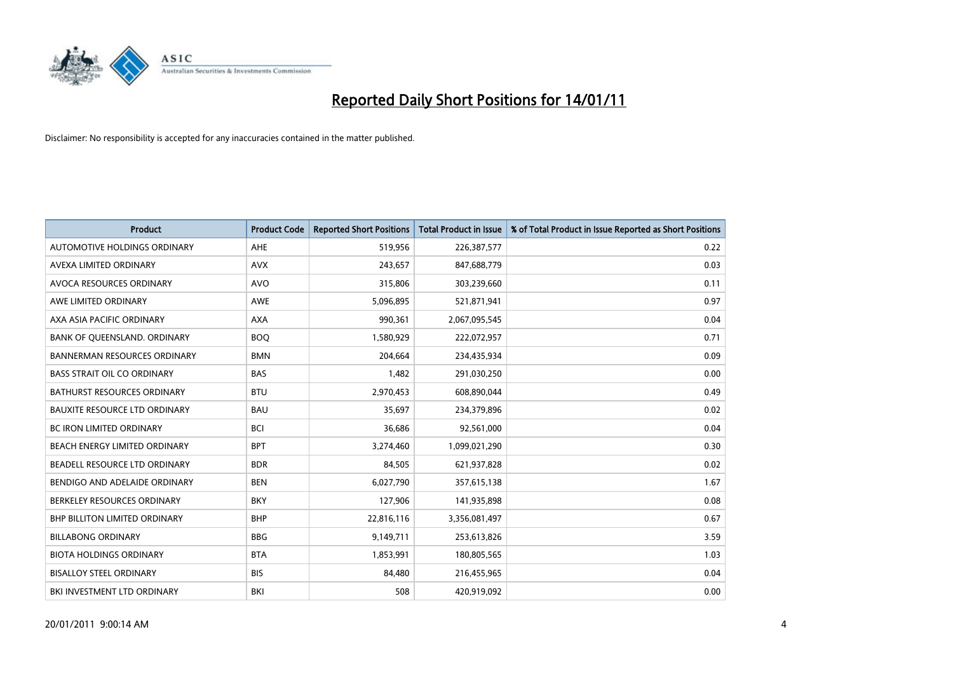

| <b>Product</b>                       | <b>Product Code</b> | <b>Reported Short Positions</b> | <b>Total Product in Issue</b> | % of Total Product in Issue Reported as Short Positions |
|--------------------------------------|---------------------|---------------------------------|-------------------------------|---------------------------------------------------------|
| AUTOMOTIVE HOLDINGS ORDINARY         | <b>AHE</b>          | 519,956                         | 226,387,577                   | 0.22                                                    |
| AVEXA LIMITED ORDINARY               | <b>AVX</b>          | 243,657                         | 847,688,779                   | 0.03                                                    |
| AVOCA RESOURCES ORDINARY             | <b>AVO</b>          | 315,806                         | 303,239,660                   | 0.11                                                    |
| AWE LIMITED ORDINARY                 | <b>AWE</b>          | 5,096,895                       | 521,871,941                   | 0.97                                                    |
| AXA ASIA PACIFIC ORDINARY            | <b>AXA</b>          | 990,361                         | 2,067,095,545                 | 0.04                                                    |
| BANK OF QUEENSLAND. ORDINARY         | <b>BOQ</b>          | 1,580,929                       | 222,072,957                   | 0.71                                                    |
| <b>BANNERMAN RESOURCES ORDINARY</b>  | <b>BMN</b>          | 204.664                         | 234,435,934                   | 0.09                                                    |
| <b>BASS STRAIT OIL CO ORDINARY</b>   | <b>BAS</b>          | 1,482                           | 291,030,250                   | 0.00                                                    |
| BATHURST RESOURCES ORDINARY          | <b>BTU</b>          | 2,970,453                       | 608,890,044                   | 0.49                                                    |
| <b>BAUXITE RESOURCE LTD ORDINARY</b> | <b>BAU</b>          | 35.697                          | 234,379,896                   | 0.02                                                    |
| <b>BC IRON LIMITED ORDINARY</b>      | <b>BCI</b>          | 36,686                          | 92,561,000                    | 0.04                                                    |
| BEACH ENERGY LIMITED ORDINARY        | <b>BPT</b>          | 3,274,460                       | 1,099,021,290                 | 0.30                                                    |
| BEADELL RESOURCE LTD ORDINARY        | <b>BDR</b>          | 84.505                          | 621,937,828                   | 0.02                                                    |
| BENDIGO AND ADELAIDE ORDINARY        | <b>BEN</b>          | 6,027,790                       | 357,615,138                   | 1.67                                                    |
| BERKELEY RESOURCES ORDINARY          | <b>BKY</b>          | 127,906                         | 141,935,898                   | 0.08                                                    |
| <b>BHP BILLITON LIMITED ORDINARY</b> | <b>BHP</b>          | 22,816,116                      | 3,356,081,497                 | 0.67                                                    |
| <b>BILLABONG ORDINARY</b>            | <b>BBG</b>          | 9,149,711                       | 253,613,826                   | 3.59                                                    |
| <b>BIOTA HOLDINGS ORDINARY</b>       | <b>BTA</b>          | 1,853,991                       | 180,805,565                   | 1.03                                                    |
| <b>BISALLOY STEEL ORDINARY</b>       | <b>BIS</b>          | 84,480                          | 216,455,965                   | 0.04                                                    |
| BKI INVESTMENT LTD ORDINARY          | <b>BKI</b>          | 508                             | 420,919,092                   | 0.00                                                    |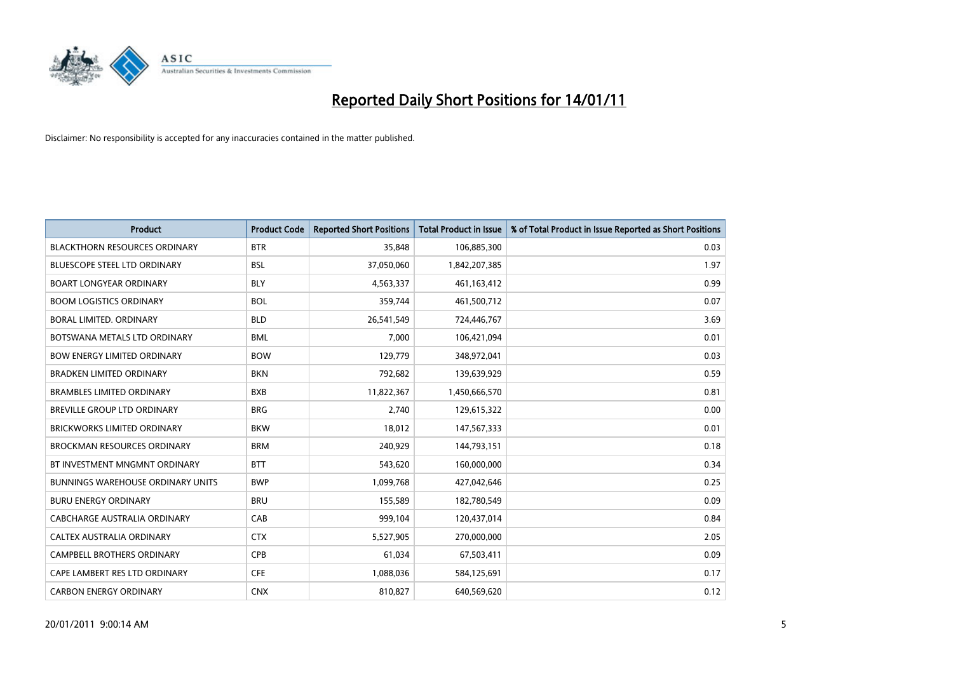

| <b>Product</b>                           | <b>Product Code</b> | <b>Reported Short Positions</b> | <b>Total Product in Issue</b> | % of Total Product in Issue Reported as Short Positions |
|------------------------------------------|---------------------|---------------------------------|-------------------------------|---------------------------------------------------------|
| <b>BLACKTHORN RESOURCES ORDINARY</b>     | <b>BTR</b>          | 35,848                          | 106,885,300                   | 0.03                                                    |
| <b>BLUESCOPE STEEL LTD ORDINARY</b>      | <b>BSL</b>          | 37,050,060                      | 1,842,207,385                 | 1.97                                                    |
| <b>BOART LONGYEAR ORDINARY</b>           | <b>BLY</b>          | 4,563,337                       | 461,163,412                   | 0.99                                                    |
| <b>BOOM LOGISTICS ORDINARY</b>           | <b>BOL</b>          | 359,744                         | 461,500,712                   | 0.07                                                    |
| <b>BORAL LIMITED, ORDINARY</b>           | <b>BLD</b>          | 26,541,549                      | 724,446,767                   | 3.69                                                    |
| BOTSWANA METALS LTD ORDINARY             | <b>BML</b>          | 7,000                           | 106,421,094                   | 0.01                                                    |
| <b>BOW ENERGY LIMITED ORDINARY</b>       | <b>BOW</b>          | 129,779                         | 348,972,041                   | 0.03                                                    |
| <b>BRADKEN LIMITED ORDINARY</b>          | <b>BKN</b>          | 792,682                         | 139,639,929                   | 0.59                                                    |
| <b>BRAMBLES LIMITED ORDINARY</b>         | <b>BXB</b>          | 11,822,367                      | 1,450,666,570                 | 0.81                                                    |
| <b>BREVILLE GROUP LTD ORDINARY</b>       | <b>BRG</b>          | 2,740                           | 129,615,322                   | 0.00                                                    |
| <b>BRICKWORKS LIMITED ORDINARY</b>       | <b>BKW</b>          | 18,012                          | 147,567,333                   | 0.01                                                    |
| <b>BROCKMAN RESOURCES ORDINARY</b>       | <b>BRM</b>          | 240,929                         | 144,793,151                   | 0.18                                                    |
| BT INVESTMENT MNGMNT ORDINARY            | <b>BTT</b>          | 543,620                         | 160,000,000                   | 0.34                                                    |
| <b>BUNNINGS WAREHOUSE ORDINARY UNITS</b> | <b>BWP</b>          | 1,099,768                       | 427,042,646                   | 0.25                                                    |
| <b>BURU ENERGY ORDINARY</b>              | <b>BRU</b>          | 155,589                         | 182,780,549                   | 0.09                                                    |
| CABCHARGE AUSTRALIA ORDINARY             | CAB                 | 999,104                         | 120,437,014                   | 0.84                                                    |
| CALTEX AUSTRALIA ORDINARY                | <b>CTX</b>          | 5,527,905                       | 270,000,000                   | 2.05                                                    |
| CAMPBELL BROTHERS ORDINARY               | <b>CPB</b>          | 61,034                          | 67,503,411                    | 0.09                                                    |
| CAPE LAMBERT RES LTD ORDINARY            | <b>CFE</b>          | 1,088,036                       | 584,125,691                   | 0.17                                                    |
| <b>CARBON ENERGY ORDINARY</b>            | <b>CNX</b>          | 810,827                         | 640,569,620                   | 0.12                                                    |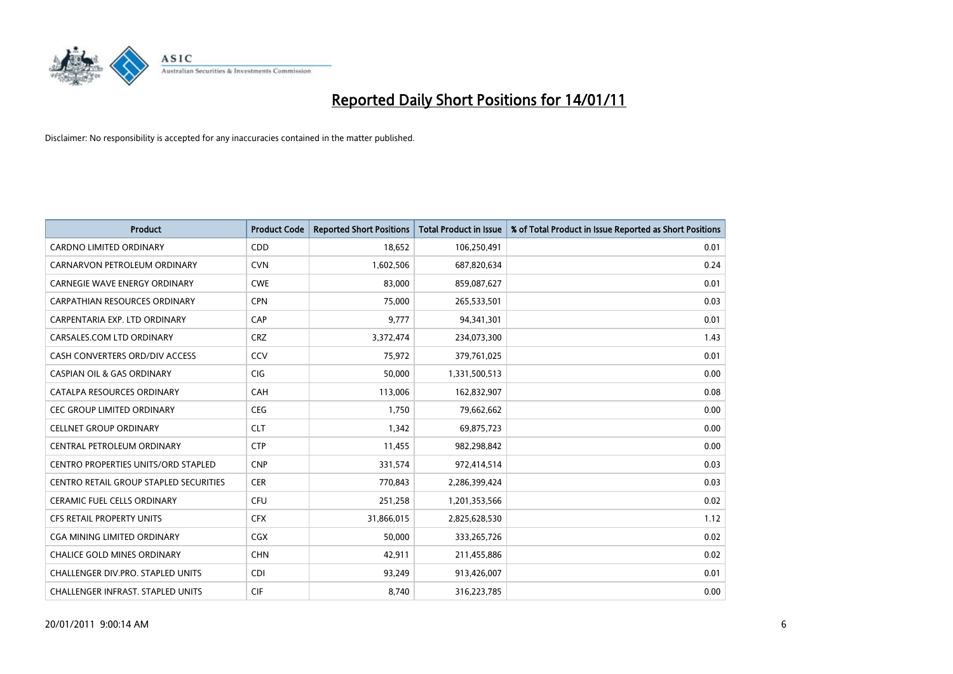

| <b>Product</b>                                | <b>Product Code</b> | <b>Reported Short Positions</b> | <b>Total Product in Issue</b> | % of Total Product in Issue Reported as Short Positions |
|-----------------------------------------------|---------------------|---------------------------------|-------------------------------|---------------------------------------------------------|
| <b>CARDNO LIMITED ORDINARY</b>                | CDD                 | 18,652                          | 106,250,491                   | 0.01                                                    |
| CARNARVON PETROLEUM ORDINARY                  | <b>CVN</b>          | 1,602,506                       | 687,820,634                   | 0.24                                                    |
| <b>CARNEGIE WAVE ENERGY ORDINARY</b>          | <b>CWE</b>          | 83.000                          | 859,087,627                   | 0.01                                                    |
| <b>CARPATHIAN RESOURCES ORDINARY</b>          | <b>CPN</b>          | 75,000                          | 265,533,501                   | 0.03                                                    |
| CARPENTARIA EXP. LTD ORDINARY                 | CAP                 | 9,777                           | 94,341,301                    | 0.01                                                    |
| CARSALES.COM LTD ORDINARY                     | <b>CRZ</b>          | 3,372,474                       | 234,073,300                   | 1.43                                                    |
| CASH CONVERTERS ORD/DIV ACCESS                | CCV                 | 75,972                          | 379,761,025                   | 0.01                                                    |
| <b>CASPIAN OIL &amp; GAS ORDINARY</b>         | <b>CIG</b>          | 50,000                          | 1,331,500,513                 | 0.00                                                    |
| CATALPA RESOURCES ORDINARY                    | CAH                 | 113,006                         | 162,832,907                   | 0.08                                                    |
| <b>CEC GROUP LIMITED ORDINARY</b>             | <b>CEG</b>          | 1,750                           | 79,662,662                    | 0.00                                                    |
| <b>CELLNET GROUP ORDINARY</b>                 | <b>CLT</b>          | 1,342                           | 69,875,723                    | 0.00                                                    |
| CENTRAL PETROLEUM ORDINARY                    | <b>CTP</b>          | 11,455                          | 982,298,842                   | 0.00                                                    |
| CENTRO PROPERTIES UNITS/ORD STAPLED           | <b>CNP</b>          | 331,574                         | 972,414,514                   | 0.03                                                    |
| <b>CENTRO RETAIL GROUP STAPLED SECURITIES</b> | <b>CER</b>          | 770,843                         | 2,286,399,424                 | 0.03                                                    |
| <b>CERAMIC FUEL CELLS ORDINARY</b>            | <b>CFU</b>          | 251,258                         | 1,201,353,566                 | 0.02                                                    |
| <b>CFS RETAIL PROPERTY UNITS</b>              | <b>CFX</b>          | 31,866,015                      | 2,825,628,530                 | 1.12                                                    |
| CGA MINING LIMITED ORDINARY                   | CGX                 | 50,000                          | 333,265,726                   | 0.02                                                    |
| CHALICE GOLD MINES ORDINARY                   | <b>CHN</b>          | 42,911                          | 211,455,886                   | 0.02                                                    |
| <b>CHALLENGER DIV.PRO. STAPLED UNITS</b>      | <b>CDI</b>          | 93,249                          | 913,426,007                   | 0.01                                                    |
| CHALLENGER INFRAST. STAPLED UNITS             | <b>CIF</b>          | 8,740                           | 316,223,785                   | 0.00                                                    |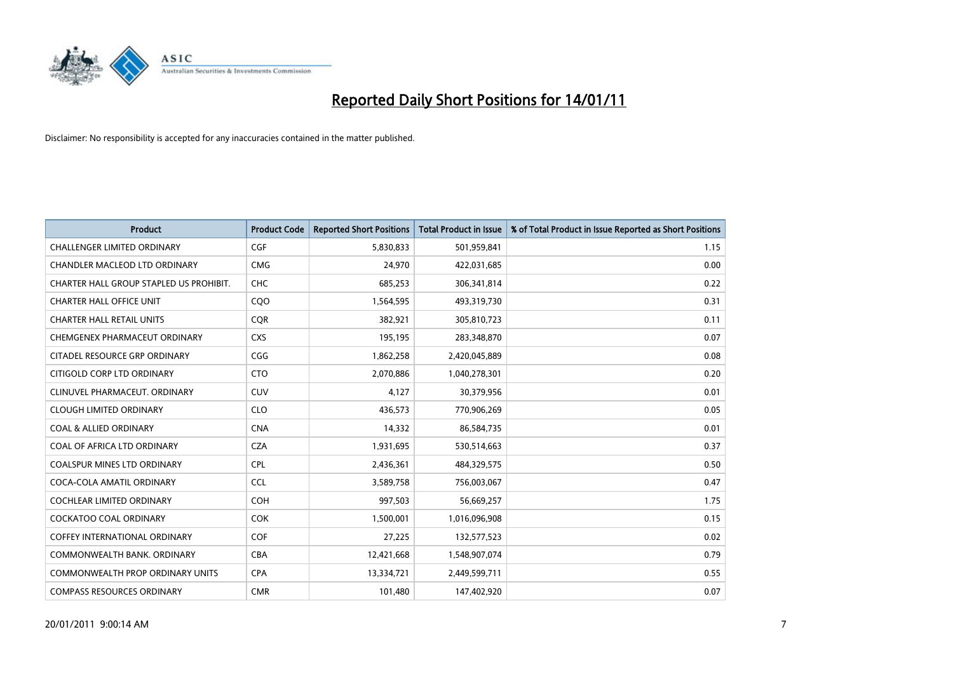

| <b>Product</b>                          | <b>Product Code</b> | <b>Reported Short Positions</b> | Total Product in Issue | % of Total Product in Issue Reported as Short Positions |
|-----------------------------------------|---------------------|---------------------------------|------------------------|---------------------------------------------------------|
| <b>CHALLENGER LIMITED ORDINARY</b>      | CGF                 | 5,830,833                       | 501,959,841            | 1.15                                                    |
| CHANDLER MACLEOD LTD ORDINARY           | <b>CMG</b>          | 24,970                          | 422,031,685            | 0.00                                                    |
| CHARTER HALL GROUP STAPLED US PROHIBIT. | CHC                 | 685,253                         | 306,341,814            | 0.22                                                    |
|                                         |                     |                                 |                        |                                                         |
| <b>CHARTER HALL OFFICE UNIT</b>         | CQ <sub>O</sub>     | 1,564,595                       | 493,319,730            | 0.31                                                    |
| <b>CHARTER HALL RETAIL UNITS</b>        | <b>COR</b>          | 382,921                         | 305,810,723            | 0.11                                                    |
| CHEMGENEX PHARMACEUT ORDINARY           | <b>CXS</b>          | 195,195                         | 283,348,870            | 0.07                                                    |
| CITADEL RESOURCE GRP ORDINARY           | CGG                 | 1,862,258                       | 2,420,045,889          | 0.08                                                    |
| CITIGOLD CORP LTD ORDINARY              | <b>CTO</b>          | 2,070,886                       | 1,040,278,301          | 0.20                                                    |
| CLINUVEL PHARMACEUT. ORDINARY           | <b>CUV</b>          | 4,127                           | 30,379,956             | 0.01                                                    |
| <b>CLOUGH LIMITED ORDINARY</b>          | <b>CLO</b>          | 436,573                         | 770,906,269            | 0.05                                                    |
| <b>COAL &amp; ALLIED ORDINARY</b>       | <b>CNA</b>          | 14,332                          | 86,584,735             | 0.01                                                    |
| COAL OF AFRICA LTD ORDINARY             | <b>CZA</b>          | 1,931,695                       | 530,514,663            | 0.37                                                    |
| <b>COALSPUR MINES LTD ORDINARY</b>      | <b>CPL</b>          | 2,436,361                       | 484,329,575            | 0.50                                                    |
| COCA-COLA AMATIL ORDINARY               | <b>CCL</b>          | 3,589,758                       | 756,003,067            | 0.47                                                    |
| <b>COCHLEAR LIMITED ORDINARY</b>        | <b>COH</b>          | 997,503                         | 56,669,257             | 1.75                                                    |
| COCKATOO COAL ORDINARY                  | <b>COK</b>          | 1,500,001                       | 1,016,096,908          | 0.15                                                    |
| <b>COFFEY INTERNATIONAL ORDINARY</b>    | <b>COF</b>          | 27,225                          | 132,577,523            | 0.02                                                    |
| COMMONWEALTH BANK, ORDINARY             | <b>CBA</b>          | 12,421,668                      | 1,548,907,074          | 0.79                                                    |
| <b>COMMONWEALTH PROP ORDINARY UNITS</b> | <b>CPA</b>          | 13,334,721                      | 2,449,599,711          | 0.55                                                    |
| <b>COMPASS RESOURCES ORDINARY</b>       | <b>CMR</b>          | 101,480                         | 147,402,920            | 0.07                                                    |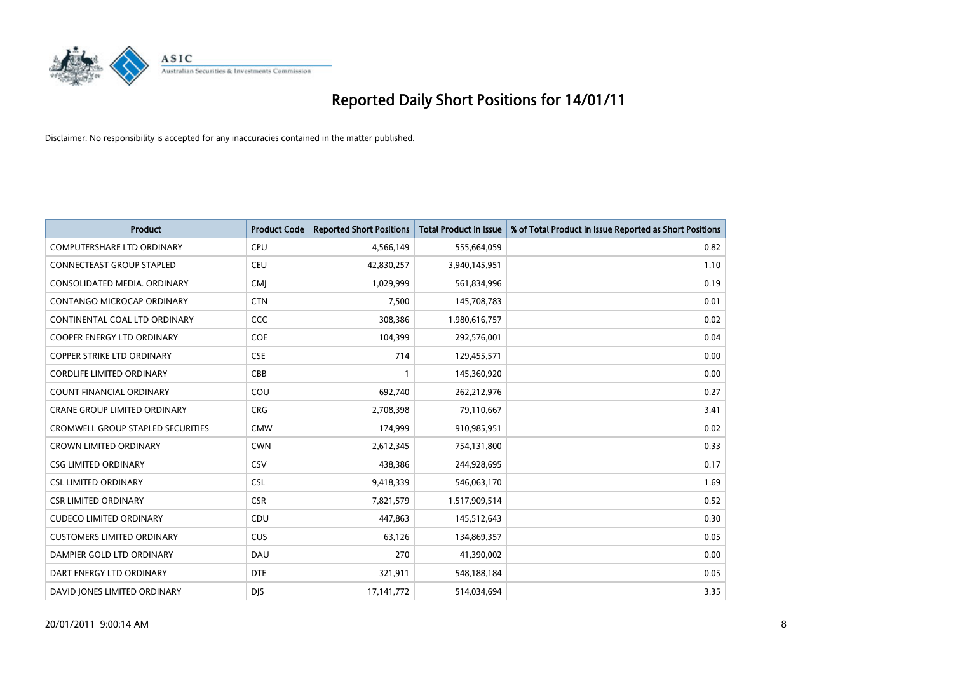

| <b>Product</b>                      | <b>Product Code</b> | <b>Reported Short Positions</b> | <b>Total Product in Issue</b> | % of Total Product in Issue Reported as Short Positions |
|-------------------------------------|---------------------|---------------------------------|-------------------------------|---------------------------------------------------------|
| <b>COMPUTERSHARE LTD ORDINARY</b>   | <b>CPU</b>          | 4,566,149                       | 555,664,059                   | 0.82                                                    |
| CONNECTEAST GROUP STAPLED           | CEU                 | 42,830,257                      | 3,940,145,951                 | 1.10                                                    |
| CONSOLIDATED MEDIA, ORDINARY        | <b>CMI</b>          | 1,029,999                       | 561,834,996                   | 0.19                                                    |
| CONTANGO MICROCAP ORDINARY          | <b>CTN</b>          | 7,500                           | 145,708,783                   | 0.01                                                    |
| CONTINENTAL COAL LTD ORDINARY       | <b>CCC</b>          | 308,386                         | 1,980,616,757                 | 0.02                                                    |
| <b>COOPER ENERGY LTD ORDINARY</b>   | <b>COE</b>          | 104,399                         | 292,576,001                   | 0.04                                                    |
| <b>COPPER STRIKE LTD ORDINARY</b>   | <b>CSE</b>          | 714                             | 129,455,571                   | 0.00                                                    |
| <b>CORDLIFE LIMITED ORDINARY</b>    | CBB                 |                                 | 145,360,920                   | 0.00                                                    |
| COUNT FINANCIAL ORDINARY            | COU                 | 692,740                         | 262,212,976                   | 0.27                                                    |
| <b>CRANE GROUP LIMITED ORDINARY</b> | <b>CRG</b>          | 2,708,398                       | 79,110,667                    | 3.41                                                    |
| CROMWELL GROUP STAPLED SECURITIES   | <b>CMW</b>          | 174,999                         | 910,985,951                   | 0.02                                                    |
| <b>CROWN LIMITED ORDINARY</b>       | <b>CWN</b>          | 2,612,345                       | 754,131,800                   | 0.33                                                    |
| <b>CSG LIMITED ORDINARY</b>         | CSV                 | 438,386                         | 244,928,695                   | 0.17                                                    |
| <b>CSL LIMITED ORDINARY</b>         | <b>CSL</b>          | 9,418,339                       | 546,063,170                   | 1.69                                                    |
| <b>CSR LIMITED ORDINARY</b>         | <b>CSR</b>          | 7,821,579                       | 1,517,909,514                 | 0.52                                                    |
| <b>CUDECO LIMITED ORDINARY</b>      | CDU                 | 447,863                         | 145,512,643                   | 0.30                                                    |
| <b>CUSTOMERS LIMITED ORDINARY</b>   | CUS                 | 63,126                          | 134,869,357                   | 0.05                                                    |
| DAMPIER GOLD LTD ORDINARY           | DAU                 | 270                             | 41,390,002                    | 0.00                                                    |
| DART ENERGY LTD ORDINARY            | <b>DTE</b>          | 321,911                         | 548,188,184                   | 0.05                                                    |
| DAVID JONES LIMITED ORDINARY        | <b>DJS</b>          | 17, 141, 772                    | 514,034,694                   | 3.35                                                    |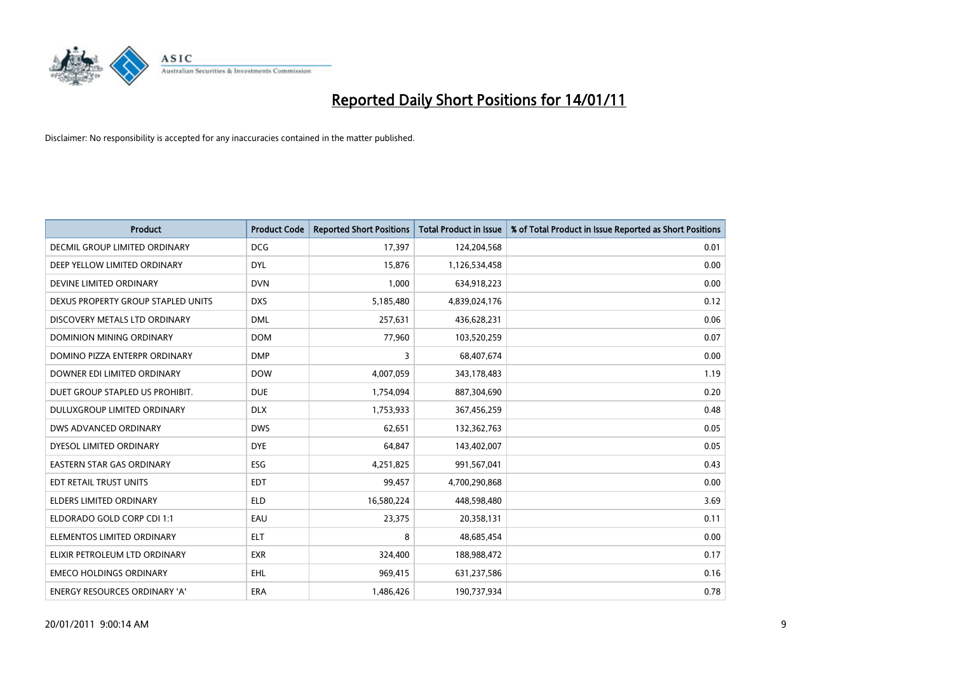

| <b>Product</b>                     | <b>Product Code</b> | <b>Reported Short Positions</b> | <b>Total Product in Issue</b> | % of Total Product in Issue Reported as Short Positions |
|------------------------------------|---------------------|---------------------------------|-------------------------------|---------------------------------------------------------|
| DECMIL GROUP LIMITED ORDINARY      | <b>DCG</b>          | 17,397                          | 124,204,568                   | 0.01                                                    |
| DEEP YELLOW LIMITED ORDINARY       | <b>DYL</b>          | 15,876                          | 1,126,534,458                 | 0.00                                                    |
| DEVINE LIMITED ORDINARY            | <b>DVN</b>          | 1,000                           | 634,918,223                   | 0.00                                                    |
| DEXUS PROPERTY GROUP STAPLED UNITS | <b>DXS</b>          | 5,185,480                       | 4,839,024,176                 | 0.12                                                    |
| DISCOVERY METALS LTD ORDINARY      | <b>DML</b>          | 257,631                         | 436,628,231                   | 0.06                                                    |
| <b>DOMINION MINING ORDINARY</b>    | <b>DOM</b>          | 77,960                          | 103,520,259                   | 0.07                                                    |
| DOMINO PIZZA ENTERPR ORDINARY      | <b>DMP</b>          | 3                               | 68,407,674                    | 0.00                                                    |
| DOWNER EDI LIMITED ORDINARY        | <b>DOW</b>          | 4,007,059                       | 343,178,483                   | 1.19                                                    |
| DUET GROUP STAPLED US PROHIBIT.    | <b>DUE</b>          | 1,754,094                       | 887,304,690                   | 0.20                                                    |
| DULUXGROUP LIMITED ORDINARY        | <b>DLX</b>          | 1,753,933                       | 367,456,259                   | 0.48                                                    |
| DWS ADVANCED ORDINARY              | <b>DWS</b>          | 62,651                          | 132,362,763                   | 0.05                                                    |
| DYESOL LIMITED ORDINARY            | <b>DYE</b>          | 64,847                          | 143,402,007                   | 0.05                                                    |
| EASTERN STAR GAS ORDINARY          | ESG                 | 4,251,825                       | 991,567,041                   | 0.43                                                    |
| EDT RETAIL TRUST UNITS             | <b>EDT</b>          | 99,457                          | 4,700,290,868                 | 0.00                                                    |
| <b>ELDERS LIMITED ORDINARY</b>     | <b>ELD</b>          | 16,580,224                      | 448,598,480                   | 3.69                                                    |
| ELDORADO GOLD CORP CDI 1:1         | EAU                 | 23,375                          | 20,358,131                    | 0.11                                                    |
| ELEMENTOS LIMITED ORDINARY         | <b>ELT</b>          | 8                               | 48,685,454                    | 0.00                                                    |
| ELIXIR PETROLEUM LTD ORDINARY      | <b>EXR</b>          | 324,400                         | 188,988,472                   | 0.17                                                    |
| <b>EMECO HOLDINGS ORDINARY</b>     | <b>EHL</b>          | 969,415                         | 631,237,586                   | 0.16                                                    |
| ENERGY RESOURCES ORDINARY 'A'      | ERA                 | 1,486,426                       | 190,737,934                   | 0.78                                                    |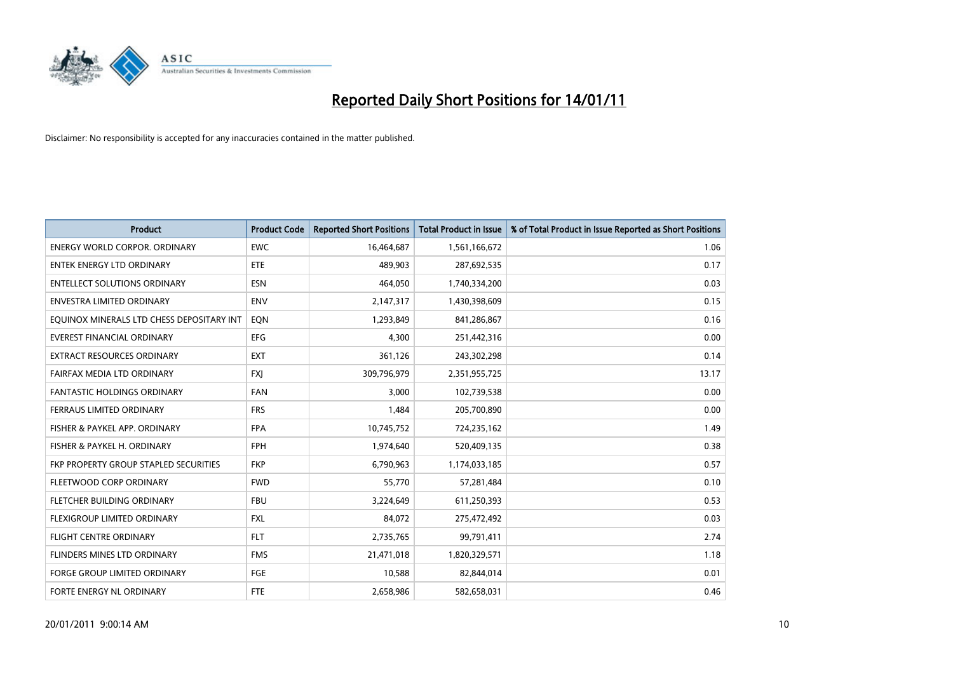

| <b>Product</b>                            | <b>Product Code</b> | <b>Reported Short Positions</b> | <b>Total Product in Issue</b> | % of Total Product in Issue Reported as Short Positions |
|-------------------------------------------|---------------------|---------------------------------|-------------------------------|---------------------------------------------------------|
| <b>ENERGY WORLD CORPOR, ORDINARY</b>      | <b>EWC</b>          | 16,464,687                      | 1,561,166,672                 | 1.06                                                    |
| ENTEK ENERGY LTD ORDINARY                 | ETE                 | 489,903                         | 287,692,535                   | 0.17                                                    |
| <b>ENTELLECT SOLUTIONS ORDINARY</b>       | <b>ESN</b>          | 464,050                         | 1,740,334,200                 | 0.03                                                    |
| <b>ENVESTRA LIMITED ORDINARY</b>          | <b>ENV</b>          | 2,147,317                       | 1,430,398,609                 | 0.15                                                    |
| EQUINOX MINERALS LTD CHESS DEPOSITARY INT | EON                 | 1,293,849                       | 841,286,867                   | 0.16                                                    |
| <b>EVEREST FINANCIAL ORDINARY</b>         | <b>EFG</b>          | 4,300                           | 251,442,316                   | 0.00                                                    |
| EXTRACT RESOURCES ORDINARY                | <b>EXT</b>          | 361,126                         | 243,302,298                   | 0.14                                                    |
| FAIRFAX MEDIA LTD ORDINARY                | <b>FXI</b>          | 309,796,979                     | 2,351,955,725                 | 13.17                                                   |
| <b>FANTASTIC HOLDINGS ORDINARY</b>        | <b>FAN</b>          | 3.000                           | 102,739,538                   | 0.00                                                    |
| FERRAUS LIMITED ORDINARY                  | <b>FRS</b>          | 1,484                           | 205,700,890                   | 0.00                                                    |
| FISHER & PAYKEL APP. ORDINARY             | <b>FPA</b>          | 10,745,752                      | 724,235,162                   | 1.49                                                    |
| FISHER & PAYKEL H. ORDINARY               | <b>FPH</b>          | 1,974,640                       | 520,409,135                   | 0.38                                                    |
| FKP PROPERTY GROUP STAPLED SECURITIES     | <b>FKP</b>          | 6,790,963                       | 1,174,033,185                 | 0.57                                                    |
| <b>FLEETWOOD CORP ORDINARY</b>            | <b>FWD</b>          | 55,770                          | 57,281,484                    | 0.10                                                    |
| FLETCHER BUILDING ORDINARY                | <b>FBU</b>          | 3,224,649                       | 611,250,393                   | 0.53                                                    |
| FLEXIGROUP LIMITED ORDINARY               | <b>FXL</b>          | 84,072                          | 275,472,492                   | 0.03                                                    |
| FLIGHT CENTRE ORDINARY                    | <b>FLT</b>          | 2,735,765                       | 99,791,411                    | 2.74                                                    |
| FLINDERS MINES LTD ORDINARY               | <b>FMS</b>          | 21,471,018                      | 1,820,329,571                 | 1.18                                                    |
| <b>FORGE GROUP LIMITED ORDINARY</b>       | <b>FGE</b>          | 10,588                          | 82,844,014                    | 0.01                                                    |
| FORTE ENERGY NL ORDINARY                  | <b>FTE</b>          | 2,658,986                       | 582,658,031                   | 0.46                                                    |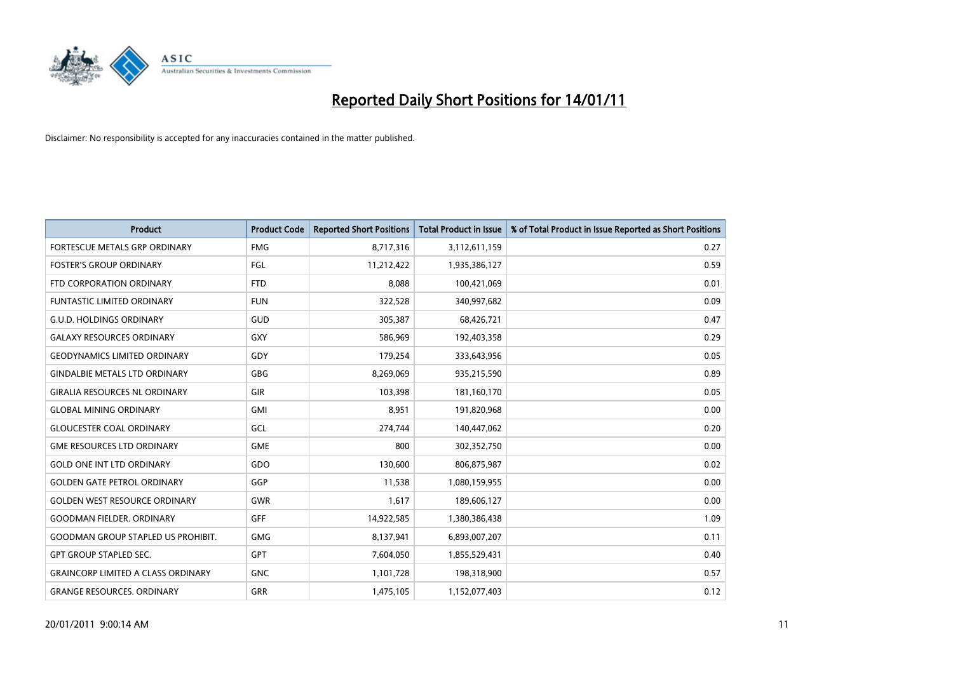

| <b>Product</b>                            | <b>Product Code</b> | <b>Reported Short Positions</b> | Total Product in Issue | % of Total Product in Issue Reported as Short Positions |
|-------------------------------------------|---------------------|---------------------------------|------------------------|---------------------------------------------------------|
| FORTESCUE METALS GRP ORDINARY             | <b>FMG</b>          | 8,717,316                       | 3,112,611,159          | 0.27                                                    |
| <b>FOSTER'S GROUP ORDINARY</b>            | FGL                 | 11,212,422                      | 1,935,386,127          | 0.59                                                    |
| FTD CORPORATION ORDINARY                  | <b>FTD</b>          | 8,088                           | 100,421,069            | 0.01                                                    |
| FUNTASTIC LIMITED ORDINARY                | <b>FUN</b>          | 322,528                         | 340,997,682            | 0.09                                                    |
| <b>G.U.D. HOLDINGS ORDINARY</b>           | GUD                 | 305,387                         | 68,426,721             | 0.47                                                    |
| <b>GALAXY RESOURCES ORDINARY</b>          | <b>GXY</b>          | 586,969                         | 192,403,358            | 0.29                                                    |
| <b>GEODYNAMICS LIMITED ORDINARY</b>       | GDY                 | 179,254                         | 333,643,956            | 0.05                                                    |
| <b>GINDALBIE METALS LTD ORDINARY</b>      | <b>GBG</b>          | 8,269,069                       | 935,215,590            | 0.89                                                    |
| <b>GIRALIA RESOURCES NL ORDINARY</b>      | GIR                 | 103,398                         | 181,160,170            | 0.05                                                    |
| <b>GLOBAL MINING ORDINARY</b>             | <b>GMI</b>          | 8,951                           | 191,820,968            | 0.00                                                    |
| <b>GLOUCESTER COAL ORDINARY</b>           | GCL                 | 274,744                         | 140,447,062            | 0.20                                                    |
| <b>GME RESOURCES LTD ORDINARY</b>         | <b>GME</b>          | 800                             | 302,352,750            | 0.00                                                    |
| <b>GOLD ONE INT LTD ORDINARY</b>          | GDO                 | 130,600                         | 806,875,987            | 0.02                                                    |
| <b>GOLDEN GATE PETROL ORDINARY</b>        | GGP                 | 11,538                          | 1,080,159,955          | 0.00                                                    |
| <b>GOLDEN WEST RESOURCE ORDINARY</b>      | <b>GWR</b>          | 1,617                           | 189,606,127            | 0.00                                                    |
| <b>GOODMAN FIELDER, ORDINARY</b>          | <b>GFF</b>          | 14,922,585                      | 1,380,386,438          | 1.09                                                    |
| <b>GOODMAN GROUP STAPLED US PROHIBIT.</b> | <b>GMG</b>          | 8,137,941                       | 6,893,007,207          | 0.11                                                    |
| <b>GPT GROUP STAPLED SEC.</b>             | <b>GPT</b>          | 7,604,050                       | 1,855,529,431          | 0.40                                                    |
| <b>GRAINCORP LIMITED A CLASS ORDINARY</b> | <b>GNC</b>          | 1,101,728                       | 198,318,900            | 0.57                                                    |
| <b>GRANGE RESOURCES. ORDINARY</b>         | GRR                 | 1,475,105                       | 1,152,077,403          | 0.12                                                    |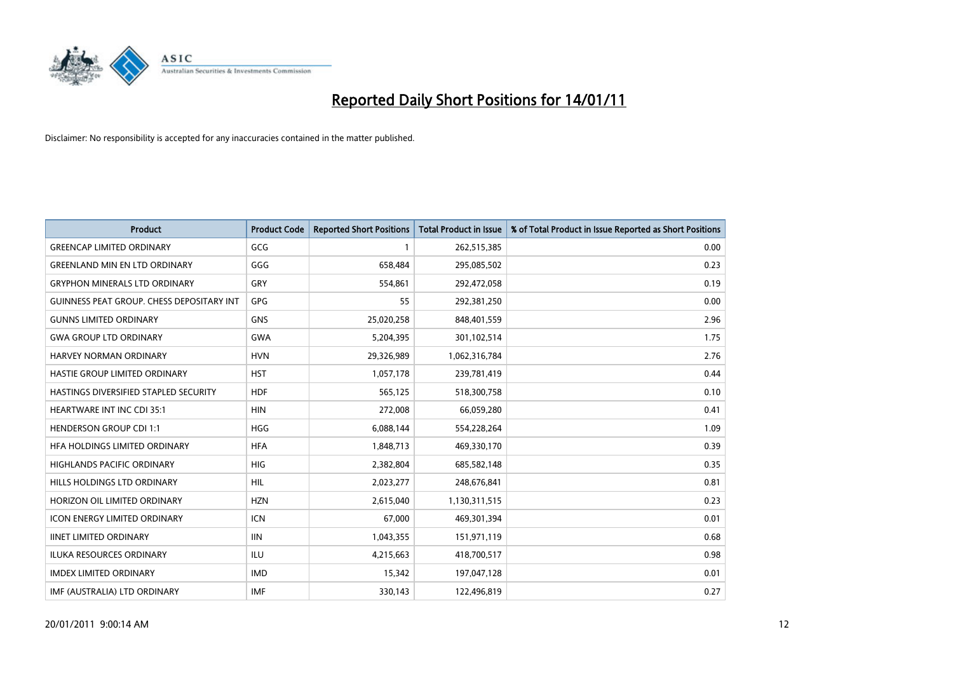

| <b>Product</b>                                   | <b>Product Code</b> | <b>Reported Short Positions</b> | <b>Total Product in Issue</b> | % of Total Product in Issue Reported as Short Positions |
|--------------------------------------------------|---------------------|---------------------------------|-------------------------------|---------------------------------------------------------|
| <b>GREENCAP LIMITED ORDINARY</b>                 | GCG                 |                                 | 262,515,385                   | 0.00                                                    |
| <b>GREENLAND MIN EN LTD ORDINARY</b>             | GGG                 | 658,484                         | 295,085,502                   | 0.23                                                    |
| <b>GRYPHON MINERALS LTD ORDINARY</b>             | <b>GRY</b>          | 554,861                         | 292,472,058                   | 0.19                                                    |
| <b>GUINNESS PEAT GROUP. CHESS DEPOSITARY INT</b> | GPG                 | 55                              | 292,381,250                   | 0.00                                                    |
| <b>GUNNS LIMITED ORDINARY</b>                    | <b>GNS</b>          | 25,020,258                      | 848,401,559                   | 2.96                                                    |
| <b>GWA GROUP LTD ORDINARY</b>                    | <b>GWA</b>          | 5,204,395                       | 301,102,514                   | 1.75                                                    |
| <b>HARVEY NORMAN ORDINARY</b>                    | <b>HVN</b>          | 29,326,989                      | 1,062,316,784                 | 2.76                                                    |
| HASTIE GROUP LIMITED ORDINARY                    | <b>HST</b>          | 1,057,178                       | 239,781,419                   | 0.44                                                    |
| HASTINGS DIVERSIFIED STAPLED SECURITY            | <b>HDF</b>          | 565,125                         | 518,300,758                   | 0.10                                                    |
| <b>HEARTWARE INT INC CDI 35:1</b>                | <b>HIN</b>          | 272,008                         | 66,059,280                    | 0.41                                                    |
| <b>HENDERSON GROUP CDI 1:1</b>                   | <b>HGG</b>          | 6,088,144                       | 554,228,264                   | 1.09                                                    |
| HFA HOLDINGS LIMITED ORDINARY                    | <b>HFA</b>          | 1,848,713                       | 469,330,170                   | 0.39                                                    |
| HIGHLANDS PACIFIC ORDINARY                       | HIG                 | 2,382,804                       | 685,582,148                   | 0.35                                                    |
| HILLS HOLDINGS LTD ORDINARY                      | HIL                 | 2,023,277                       | 248,676,841                   | 0.81                                                    |
| HORIZON OIL LIMITED ORDINARY                     | <b>HZN</b>          | 2,615,040                       | 1,130,311,515                 | 0.23                                                    |
| <b>ICON ENERGY LIMITED ORDINARY</b>              | <b>ICN</b>          | 67,000                          | 469,301,394                   | 0.01                                                    |
| <b>IINET LIMITED ORDINARY</b>                    | <b>IIN</b>          | 1,043,355                       | 151,971,119                   | 0.68                                                    |
| ILUKA RESOURCES ORDINARY                         | ILU                 | 4,215,663                       | 418,700,517                   | 0.98                                                    |
| <b>IMDEX LIMITED ORDINARY</b>                    | <b>IMD</b>          | 15,342                          | 197,047,128                   | 0.01                                                    |
| IMF (AUSTRALIA) LTD ORDINARY                     | <b>IMF</b>          | 330,143                         | 122,496,819                   | 0.27                                                    |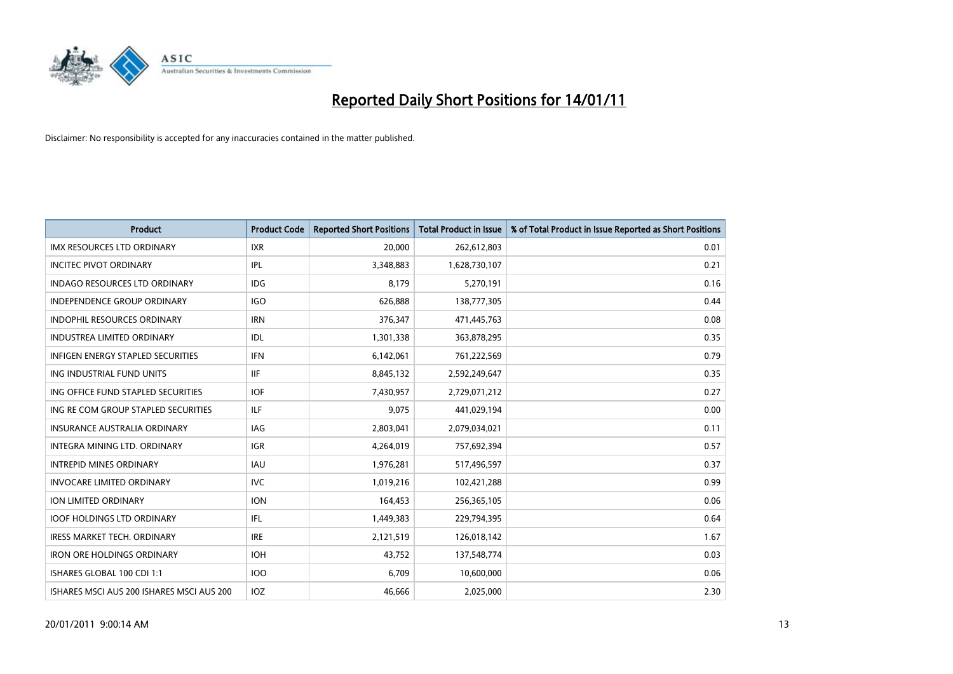

| <b>Product</b>                            | <b>Product Code</b> | <b>Reported Short Positions</b> | Total Product in Issue | % of Total Product in Issue Reported as Short Positions |
|-------------------------------------------|---------------------|---------------------------------|------------------------|---------------------------------------------------------|
| <b>IMX RESOURCES LTD ORDINARY</b>         | <b>IXR</b>          | 20,000                          | 262,612,803            | 0.01                                                    |
| <b>INCITEC PIVOT ORDINARY</b>             | IPL                 | 3,348,883                       | 1,628,730,107          | 0.21                                                    |
| <b>INDAGO RESOURCES LTD ORDINARY</b>      | <b>IDG</b>          | 8,179                           | 5,270,191              | 0.16                                                    |
| INDEPENDENCE GROUP ORDINARY               | <b>IGO</b>          | 626,888                         | 138,777,305            | 0.44                                                    |
| <b>INDOPHIL RESOURCES ORDINARY</b>        | <b>IRN</b>          | 376,347                         | 471,445,763            | 0.08                                                    |
| <b>INDUSTREA LIMITED ORDINARY</b>         | <b>IDL</b>          | 1,301,338                       | 363,878,295            | 0.35                                                    |
| <b>INFIGEN ENERGY STAPLED SECURITIES</b>  | <b>IFN</b>          | 6,142,061                       | 761,222,569            | 0.79                                                    |
| ING INDUSTRIAL FUND UNITS                 | <b>IIF</b>          | 8,845,132                       | 2,592,249,647          | 0.35                                                    |
| ING OFFICE FUND STAPLED SECURITIES        | <b>IOF</b>          | 7,430,957                       | 2,729,071,212          | 0.27                                                    |
| ING RE COM GROUP STAPLED SECURITIES       | <b>ILF</b>          | 9.075                           | 441,029,194            | 0.00                                                    |
| <b>INSURANCE AUSTRALIA ORDINARY</b>       | <b>IAG</b>          | 2,803,041                       | 2,079,034,021          | 0.11                                                    |
| <b>INTEGRA MINING LTD, ORDINARY</b>       | <b>IGR</b>          | 4,264,019                       | 757,692,394            | 0.57                                                    |
| <b>INTREPID MINES ORDINARY</b>            | <b>IAU</b>          | 1,976,281                       | 517,496,597            | 0.37                                                    |
| <b>INVOCARE LIMITED ORDINARY</b>          | <b>IVC</b>          | 1,019,216                       | 102,421,288            | 0.99                                                    |
| ION LIMITED ORDINARY                      | <b>ION</b>          | 164,453                         | 256,365,105            | 0.06                                                    |
| <b>IOOF HOLDINGS LTD ORDINARY</b>         | <b>IFL</b>          | 1,449,383                       | 229,794,395            | 0.64                                                    |
| <b>IRESS MARKET TECH. ORDINARY</b>        | <b>IRE</b>          | 2,121,519                       | 126,018,142            | 1.67                                                    |
| <b>IRON ORE HOLDINGS ORDINARY</b>         | <b>IOH</b>          | 43,752                          | 137,548,774            | 0.03                                                    |
| ISHARES GLOBAL 100 CDI 1:1                | <b>IOO</b>          | 6,709                           | 10,600,000             | 0.06                                                    |
| ISHARES MSCI AUS 200 ISHARES MSCI AUS 200 | IOZ                 | 46.666                          | 2,025,000              | 2.30                                                    |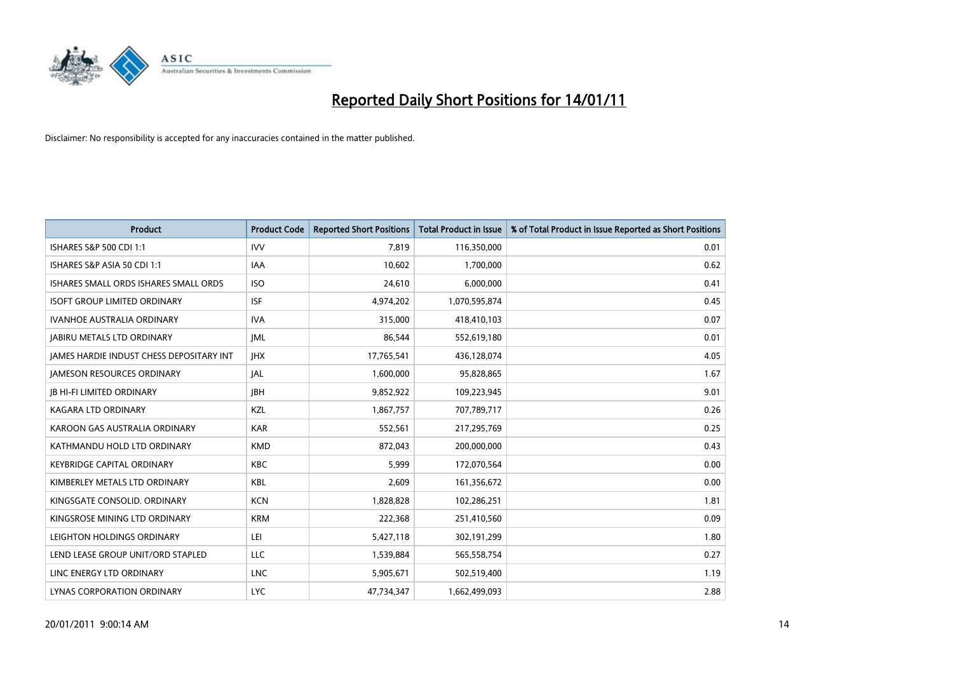

| <b>Product</b>                                  | <b>Product Code</b> | <b>Reported Short Positions</b> | <b>Total Product in Issue</b> | % of Total Product in Issue Reported as Short Positions |
|-------------------------------------------------|---------------------|---------------------------------|-------------------------------|---------------------------------------------------------|
| <b>ISHARES S&amp;P 500 CDI 1:1</b>              | <b>IVV</b>          | 7,819                           | 116,350,000                   | 0.01                                                    |
| ISHARES S&P ASIA 50 CDI 1:1                     | IAA                 | 10,602                          | 1,700,000                     | 0.62                                                    |
| ISHARES SMALL ORDS ISHARES SMALL ORDS           | <b>ISO</b>          | 24,610                          | 6,000,000                     | 0.41                                                    |
| <b>ISOFT GROUP LIMITED ORDINARY</b>             | <b>ISF</b>          | 4,974,202                       | 1,070,595,874                 | 0.45                                                    |
| <b>IVANHOE AUSTRALIA ORDINARY</b>               | <b>IVA</b>          | 315,000                         | 418,410,103                   | 0.07                                                    |
| <b>JABIRU METALS LTD ORDINARY</b>               | <b>IML</b>          | 86,544                          | 552,619,180                   | 0.01                                                    |
| <b>JAMES HARDIE INDUST CHESS DEPOSITARY INT</b> | <b>IHX</b>          | 17,765,541                      | 436,128,074                   | 4.05                                                    |
| <b>JAMESON RESOURCES ORDINARY</b>               | <b>JAL</b>          | 1,600,000                       | 95,828,865                    | 1.67                                                    |
| <b>JB HI-FI LIMITED ORDINARY</b>                | <b>IBH</b>          | 9,852,922                       | 109,223,945                   | 9.01                                                    |
| <b>KAGARA LTD ORDINARY</b>                      | KZL                 | 1,867,757                       | 707,789,717                   | 0.26                                                    |
| KAROON GAS AUSTRALIA ORDINARY                   | <b>KAR</b>          | 552,561                         | 217,295,769                   | 0.25                                                    |
| KATHMANDU HOLD LTD ORDINARY                     | <b>KMD</b>          | 872,043                         | 200,000,000                   | 0.43                                                    |
| <b>KEYBRIDGE CAPITAL ORDINARY</b>               | <b>KBC</b>          | 5,999                           | 172,070,564                   | 0.00                                                    |
| KIMBERLEY METALS LTD ORDINARY                   | KBL                 | 2,609                           | 161,356,672                   | 0.00                                                    |
| KINGSGATE CONSOLID, ORDINARY                    | <b>KCN</b>          | 1,828,828                       | 102,286,251                   | 1.81                                                    |
| KINGSROSE MINING LTD ORDINARY                   | <b>KRM</b>          | 222,368                         | 251,410,560                   | 0.09                                                    |
| LEIGHTON HOLDINGS ORDINARY                      | LEI                 | 5,427,118                       | 302,191,299                   | 1.80                                                    |
| LEND LEASE GROUP UNIT/ORD STAPLED               | LLC                 | 1,539,884                       | 565,558,754                   | 0.27                                                    |
| LINC ENERGY LTD ORDINARY                        | <b>LNC</b>          | 5,905,671                       | 502,519,400                   | 1.19                                                    |
| LYNAS CORPORATION ORDINARY                      | <b>LYC</b>          | 47,734,347                      | 1,662,499,093                 | 2.88                                                    |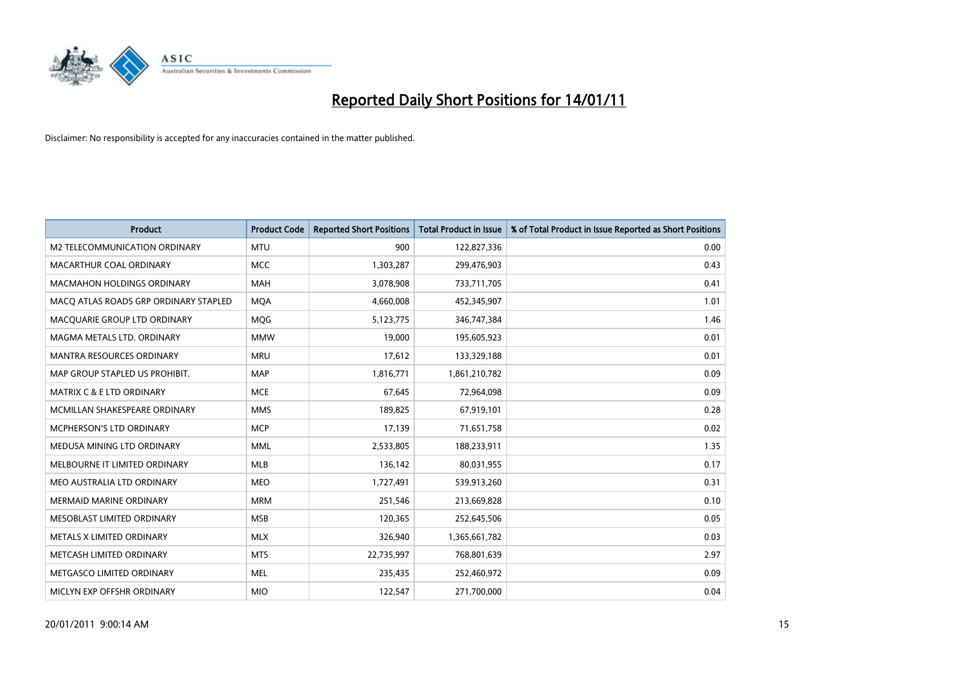

| <b>Product</b>                        | <b>Product Code</b> | <b>Reported Short Positions</b> | Total Product in Issue | % of Total Product in Issue Reported as Short Positions |
|---------------------------------------|---------------------|---------------------------------|------------------------|---------------------------------------------------------|
| M2 TELECOMMUNICATION ORDINARY         | <b>MTU</b>          | 900                             | 122,827,336            | 0.00                                                    |
| MACARTHUR COAL ORDINARY               | <b>MCC</b>          | 1,303,287                       | 299,476,903            | 0.43                                                    |
| <b>MACMAHON HOLDINGS ORDINARY</b>     | <b>MAH</b>          | 3,078,908                       | 733,711,705            | 0.41                                                    |
| MACQ ATLAS ROADS GRP ORDINARY STAPLED | <b>MOA</b>          | 4,660,008                       | 452,345,907            | 1.01                                                    |
| MACQUARIE GROUP LTD ORDINARY          | MQG                 | 5,123,775                       | 346,747,384            | 1.46                                                    |
| MAGMA METALS LTD. ORDINARY            | <b>MMW</b>          | 19,000                          | 195,605,923            | 0.01                                                    |
| <b>MANTRA RESOURCES ORDINARY</b>      | <b>MRU</b>          | 17,612                          | 133,329,188            | 0.01                                                    |
| MAP GROUP STAPLED US PROHIBIT.        | <b>MAP</b>          | 1,816,771                       | 1,861,210,782          | 0.09                                                    |
| <b>MATRIX C &amp; E LTD ORDINARY</b>  | <b>MCE</b>          | 67,645                          | 72,964,098             | 0.09                                                    |
| MCMILLAN SHAKESPEARE ORDINARY         | <b>MMS</b>          | 189,825                         | 67,919,101             | 0.28                                                    |
| MCPHERSON'S LTD ORDINARY              | <b>MCP</b>          | 17,139                          | 71,651,758             | 0.02                                                    |
| MEDUSA MINING LTD ORDINARY            | <b>MML</b>          | 2,533,805                       | 188,233,911            | 1.35                                                    |
| MELBOURNE IT LIMITED ORDINARY         | <b>MLB</b>          | 136,142                         | 80,031,955             | 0.17                                                    |
| MEO AUSTRALIA LTD ORDINARY            | <b>MEO</b>          | 1,727,491                       | 539,913,260            | 0.31                                                    |
| <b>MERMAID MARINE ORDINARY</b>        | <b>MRM</b>          | 251,546                         | 213,669,828            | 0.10                                                    |
| MESOBLAST LIMITED ORDINARY            | <b>MSB</b>          | 120,365                         | 252,645,506            | 0.05                                                    |
| METALS X LIMITED ORDINARY             | <b>MLX</b>          | 326,940                         | 1,365,661,782          | 0.03                                                    |
| METCASH LIMITED ORDINARY              | <b>MTS</b>          | 22,735,997                      | 768,801,639            | 2.97                                                    |
| METGASCO LIMITED ORDINARY             | <b>MEL</b>          | 235,435                         | 252,460,972            | 0.09                                                    |
| MICLYN EXP OFFSHR ORDINARY            | <b>MIO</b>          | 122,547                         | 271,700,000            | 0.04                                                    |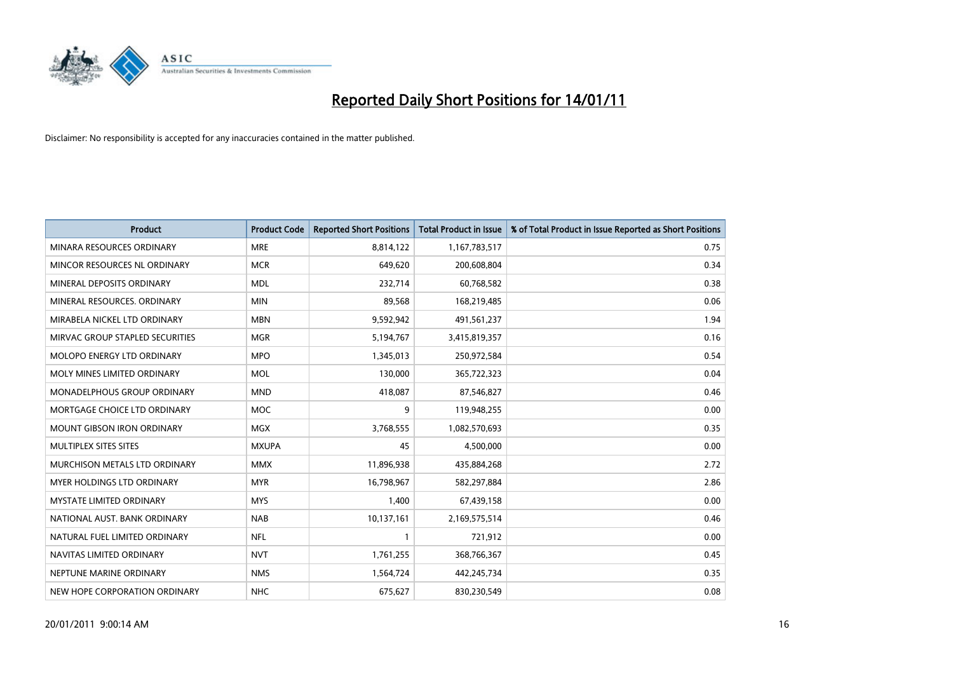

| <b>Product</b>                    | <b>Product Code</b> | <b>Reported Short Positions</b> | <b>Total Product in Issue</b> | % of Total Product in Issue Reported as Short Positions |
|-----------------------------------|---------------------|---------------------------------|-------------------------------|---------------------------------------------------------|
| MINARA RESOURCES ORDINARY         | <b>MRE</b>          | 8,814,122                       | 1,167,783,517                 | 0.75                                                    |
| MINCOR RESOURCES NL ORDINARY      | <b>MCR</b>          | 649,620                         | 200,608,804                   | 0.34                                                    |
| MINERAL DEPOSITS ORDINARY         | <b>MDL</b>          | 232,714                         | 60,768,582                    | 0.38                                                    |
| MINERAL RESOURCES. ORDINARY       | <b>MIN</b>          | 89,568                          | 168,219,485                   | 0.06                                                    |
| MIRABELA NICKEL LTD ORDINARY      | <b>MBN</b>          | 9,592,942                       | 491,561,237                   | 1.94                                                    |
| MIRVAC GROUP STAPLED SECURITIES   | <b>MGR</b>          | 5,194,767                       | 3,415,819,357                 | 0.16                                                    |
| MOLOPO ENERGY LTD ORDINARY        | <b>MPO</b>          | 1,345,013                       | 250,972,584                   | 0.54                                                    |
| MOLY MINES LIMITED ORDINARY       | <b>MOL</b>          | 130,000                         | 365,722,323                   | 0.04                                                    |
| MONADELPHOUS GROUP ORDINARY       | <b>MND</b>          | 418,087                         | 87,546,827                    | 0.46                                                    |
| MORTGAGE CHOICE LTD ORDINARY      | <b>MOC</b>          | 9                               | 119,948,255                   | 0.00                                                    |
| MOUNT GIBSON IRON ORDINARY        | MGX                 | 3,768,555                       | 1,082,570,693                 | 0.35                                                    |
| MULTIPLEX SITES SITES             | <b>MXUPA</b>        | 45                              | 4,500,000                     | 0.00                                                    |
| MURCHISON METALS LTD ORDINARY     | <b>MMX</b>          | 11,896,938                      | 435,884,268                   | 2.72                                                    |
| <b>MYER HOLDINGS LTD ORDINARY</b> | <b>MYR</b>          | 16,798,967                      | 582,297,884                   | 2.86                                                    |
| <b>MYSTATE LIMITED ORDINARY</b>   | <b>MYS</b>          | 1,400                           | 67,439,158                    | 0.00                                                    |
| NATIONAL AUST. BANK ORDINARY      | <b>NAB</b>          | 10,137,161                      | 2,169,575,514                 | 0.46                                                    |
| NATURAL FUEL LIMITED ORDINARY     | <b>NFL</b>          |                                 | 721,912                       | 0.00                                                    |
| NAVITAS LIMITED ORDINARY          | <b>NVT</b>          | 1,761,255                       | 368,766,367                   | 0.45                                                    |
| NEPTUNE MARINE ORDINARY           | <b>NMS</b>          | 1,564,724                       | 442,245,734                   | 0.35                                                    |
| NEW HOPE CORPORATION ORDINARY     | <b>NHC</b>          | 675,627                         | 830,230,549                   | 0.08                                                    |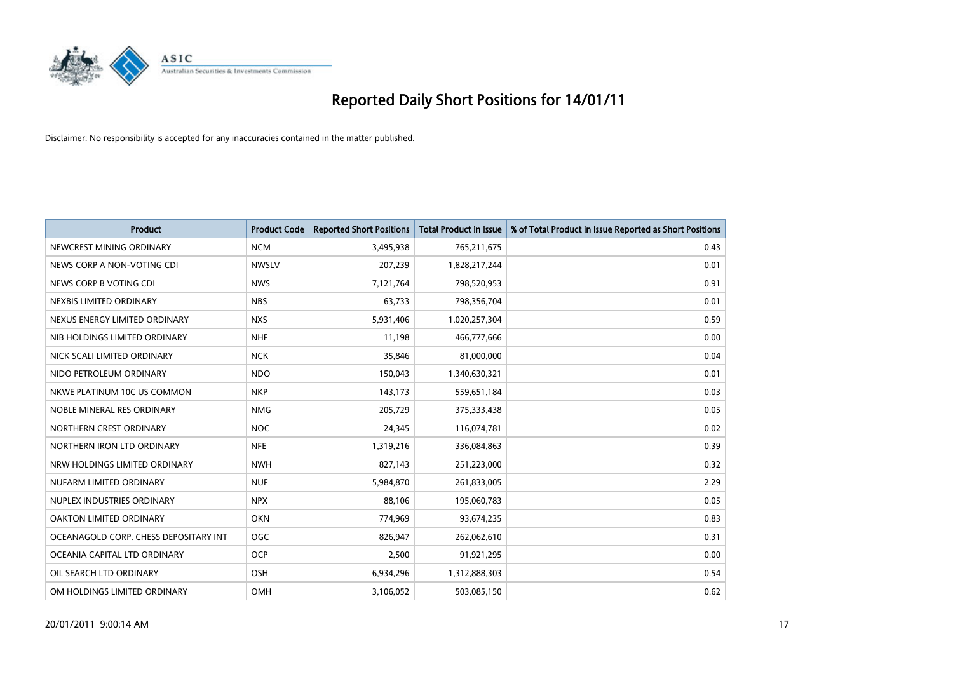

| <b>Product</b>                        | <b>Product Code</b> | <b>Reported Short Positions</b> | <b>Total Product in Issue</b> | % of Total Product in Issue Reported as Short Positions |
|---------------------------------------|---------------------|---------------------------------|-------------------------------|---------------------------------------------------------|
| NEWCREST MINING ORDINARY              | <b>NCM</b>          | 3,495,938                       | 765,211,675                   | 0.43                                                    |
| NEWS CORP A NON-VOTING CDI            | <b>NWSLV</b>        | 207,239                         | 1,828,217,244                 | 0.01                                                    |
| NEWS CORP B VOTING CDI                | <b>NWS</b>          | 7,121,764                       | 798,520,953                   | 0.91                                                    |
| NEXBIS LIMITED ORDINARY               | <b>NBS</b>          | 63,733                          | 798,356,704                   | 0.01                                                    |
| NEXUS ENERGY LIMITED ORDINARY         | <b>NXS</b>          | 5,931,406                       | 1,020,257,304                 | 0.59                                                    |
| NIB HOLDINGS LIMITED ORDINARY         | <b>NHF</b>          | 11,198                          | 466,777,666                   | 0.00                                                    |
| NICK SCALI LIMITED ORDINARY           | <b>NCK</b>          | 35,846                          | 81,000,000                    | 0.04                                                    |
| NIDO PETROLEUM ORDINARY               | <b>NDO</b>          | 150,043                         | 1,340,630,321                 | 0.01                                                    |
| NKWE PLATINUM 10C US COMMON           | <b>NKP</b>          | 143,173                         | 559,651,184                   | 0.03                                                    |
| NOBLE MINERAL RES ORDINARY            | <b>NMG</b>          | 205,729                         | 375, 333, 438                 | 0.05                                                    |
| NORTHERN CREST ORDINARY               | <b>NOC</b>          | 24,345                          | 116,074,781                   | 0.02                                                    |
| NORTHERN IRON LTD ORDINARY            | <b>NFE</b>          | 1,319,216                       | 336,084,863                   | 0.39                                                    |
| NRW HOLDINGS LIMITED ORDINARY         | <b>NWH</b>          | 827,143                         | 251,223,000                   | 0.32                                                    |
| NUFARM LIMITED ORDINARY               | <b>NUF</b>          | 5,984,870                       | 261,833,005                   | 2.29                                                    |
| NUPLEX INDUSTRIES ORDINARY            | <b>NPX</b>          | 88,106                          | 195,060,783                   | 0.05                                                    |
| OAKTON LIMITED ORDINARY               | <b>OKN</b>          | 774,969                         | 93,674,235                    | 0.83                                                    |
| OCEANAGOLD CORP. CHESS DEPOSITARY INT | <b>OGC</b>          | 826,947                         | 262,062,610                   | 0.31                                                    |
| OCEANIA CAPITAL LTD ORDINARY          | <b>OCP</b>          | 2,500                           | 91,921,295                    | 0.00                                                    |
| OIL SEARCH LTD ORDINARY               | OSH                 | 6,934,296                       | 1,312,888,303                 | 0.54                                                    |
| OM HOLDINGS LIMITED ORDINARY          | OMH                 | 3,106,052                       | 503,085,150                   | 0.62                                                    |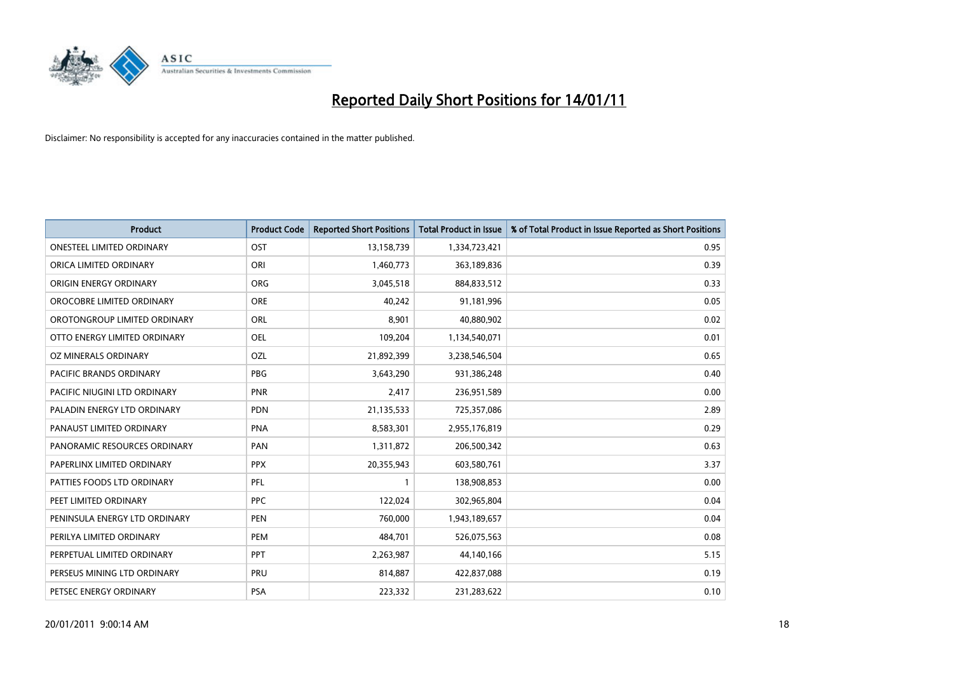

| <b>Product</b>                   | <b>Product Code</b> | <b>Reported Short Positions</b> | <b>Total Product in Issue</b> | % of Total Product in Issue Reported as Short Positions |
|----------------------------------|---------------------|---------------------------------|-------------------------------|---------------------------------------------------------|
| <b>ONESTEEL LIMITED ORDINARY</b> | OST                 | 13,158,739                      | 1,334,723,421                 | 0.95                                                    |
| ORICA LIMITED ORDINARY           | ORI                 | 1,460,773                       | 363,189,836                   | 0.39                                                    |
| ORIGIN ENERGY ORDINARY           | <b>ORG</b>          | 3,045,518                       | 884,833,512                   | 0.33                                                    |
| OROCOBRE LIMITED ORDINARY        | <b>ORE</b>          | 40,242                          | 91,181,996                    | 0.05                                                    |
| OROTONGROUP LIMITED ORDINARY     | ORL                 | 8,901                           | 40,880,902                    | 0.02                                                    |
| OTTO ENERGY LIMITED ORDINARY     | <b>OEL</b>          | 109,204                         | 1,134,540,071                 | 0.01                                                    |
| OZ MINERALS ORDINARY             | OZL                 | 21,892,399                      | 3,238,546,504                 | 0.65                                                    |
| <b>PACIFIC BRANDS ORDINARY</b>   | <b>PBG</b>          | 3,643,290                       | 931,386,248                   | 0.40                                                    |
| PACIFIC NIUGINI LTD ORDINARY     | PNR                 | 2,417                           | 236,951,589                   | 0.00                                                    |
| PALADIN ENERGY LTD ORDINARY      | <b>PDN</b>          | 21,135,533                      | 725,357,086                   | 2.89                                                    |
| PANAUST LIMITED ORDINARY         | <b>PNA</b>          | 8,583,301                       | 2,955,176,819                 | 0.29                                                    |
| PANORAMIC RESOURCES ORDINARY     | PAN                 | 1,311,872                       | 206,500,342                   | 0.63                                                    |
| PAPERLINX LIMITED ORDINARY       | <b>PPX</b>          | 20,355,943                      | 603,580,761                   | 3.37                                                    |
| PATTIES FOODS LTD ORDINARY       | PFL                 |                                 | 138,908,853                   | 0.00                                                    |
| PEET LIMITED ORDINARY            | <b>PPC</b>          | 122,024                         | 302,965,804                   | 0.04                                                    |
| PENINSULA ENERGY LTD ORDINARY    | <b>PEN</b>          | 760,000                         | 1,943,189,657                 | 0.04                                                    |
| PERILYA LIMITED ORDINARY         | PEM                 | 484,701                         | 526,075,563                   | 0.08                                                    |
| PERPETUAL LIMITED ORDINARY       | PPT                 | 2,263,987                       | 44,140,166                    | 5.15                                                    |
| PERSEUS MINING LTD ORDINARY      | PRU                 | 814,887                         | 422,837,088                   | 0.19                                                    |
| PETSEC ENERGY ORDINARY           | <b>PSA</b>          | 223,332                         | 231,283,622                   | 0.10                                                    |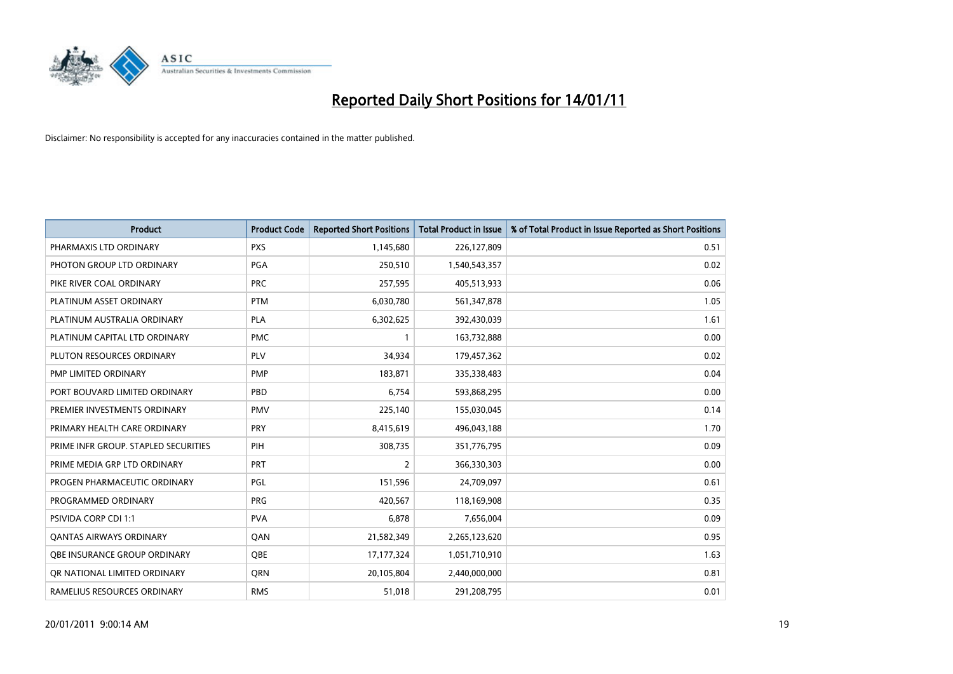

| <b>Product</b>                       | <b>Product Code</b> | <b>Reported Short Positions</b> | <b>Total Product in Issue</b> | % of Total Product in Issue Reported as Short Positions |
|--------------------------------------|---------------------|---------------------------------|-------------------------------|---------------------------------------------------------|
| PHARMAXIS LTD ORDINARY               | <b>PXS</b>          | 1,145,680                       | 226,127,809                   | 0.51                                                    |
| PHOTON GROUP LTD ORDINARY            | <b>PGA</b>          | 250,510                         | 1,540,543,357                 | 0.02                                                    |
| PIKE RIVER COAL ORDINARY             | <b>PRC</b>          | 257,595                         | 405,513,933                   | 0.06                                                    |
| PLATINUM ASSET ORDINARY              | <b>PTM</b>          | 6,030,780                       | 561,347,878                   | 1.05                                                    |
| PLATINUM AUSTRALIA ORDINARY          | <b>PLA</b>          | 6,302,625                       | 392,430,039                   | 1.61                                                    |
| PLATINUM CAPITAL LTD ORDINARY        | <b>PMC</b>          |                                 | 163,732,888                   | 0.00                                                    |
| PLUTON RESOURCES ORDINARY            | <b>PLV</b>          | 34,934                          | 179,457,362                   | 0.02                                                    |
| PMP LIMITED ORDINARY                 | <b>PMP</b>          | 183,871                         | 335,338,483                   | 0.04                                                    |
| PORT BOUVARD LIMITED ORDINARY        | PBD                 | 6.754                           | 593,868,295                   | 0.00                                                    |
| PREMIER INVESTMENTS ORDINARY         | <b>PMV</b>          | 225,140                         | 155,030,045                   | 0.14                                                    |
| PRIMARY HEALTH CARE ORDINARY         | <b>PRY</b>          | 8,415,619                       | 496,043,188                   | 1.70                                                    |
| PRIME INFR GROUP. STAPLED SECURITIES | PIH                 | 308,735                         | 351,776,795                   | 0.09                                                    |
| PRIME MEDIA GRP LTD ORDINARY         | PRT                 | 2                               | 366,330,303                   | 0.00                                                    |
| PROGEN PHARMACEUTIC ORDINARY         | <b>PGL</b>          | 151,596                         | 24,709,097                    | 0.61                                                    |
| PROGRAMMED ORDINARY                  | PRG                 | 420,567                         | 118,169,908                   | 0.35                                                    |
| <b>PSIVIDA CORP CDI 1:1</b>          | <b>PVA</b>          | 6,878                           | 7,656,004                     | 0.09                                                    |
| <b>QANTAS AIRWAYS ORDINARY</b>       | QAN                 | 21,582,349                      | 2,265,123,620                 | 0.95                                                    |
| <b>OBE INSURANCE GROUP ORDINARY</b>  | <b>OBE</b>          | 17, 177, 324                    | 1,051,710,910                 | 1.63                                                    |
| OR NATIONAL LIMITED ORDINARY         | <b>ORN</b>          | 20,105,804                      | 2,440,000,000                 | 0.81                                                    |
| RAMELIUS RESOURCES ORDINARY          | <b>RMS</b>          | 51,018                          | 291,208,795                   | 0.01                                                    |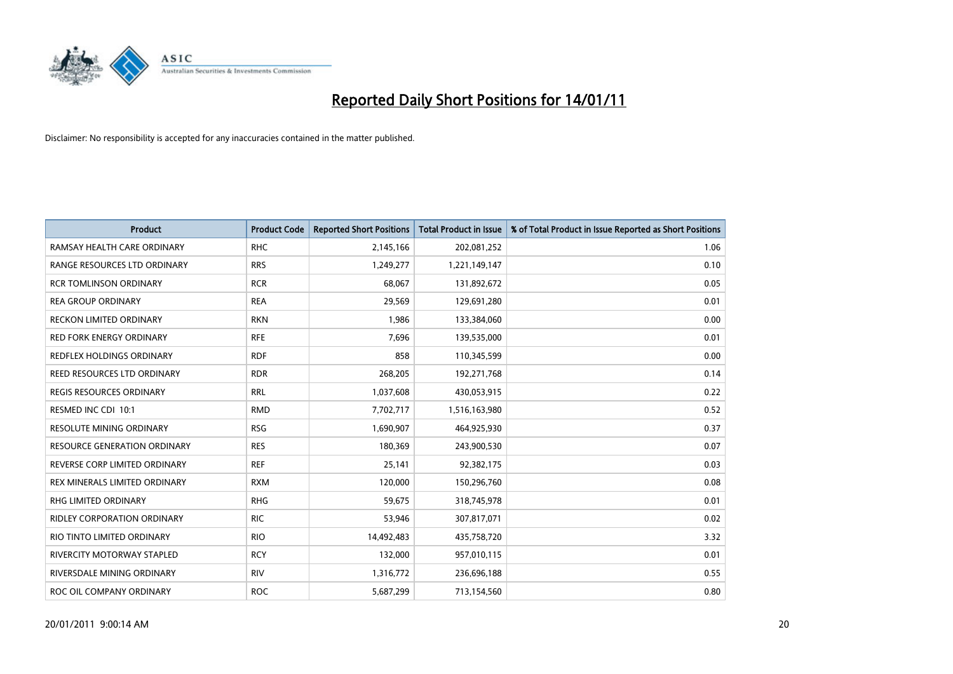

| <b>Product</b>                     | <b>Product Code</b> | <b>Reported Short Positions</b> | <b>Total Product in Issue</b> | % of Total Product in Issue Reported as Short Positions |
|------------------------------------|---------------------|---------------------------------|-------------------------------|---------------------------------------------------------|
| RAMSAY HEALTH CARE ORDINARY        | <b>RHC</b>          | 2,145,166                       | 202,081,252                   | 1.06                                                    |
| RANGE RESOURCES LTD ORDINARY       | <b>RRS</b>          | 1,249,277                       | 1,221,149,147                 | 0.10                                                    |
| <b>RCR TOMLINSON ORDINARY</b>      | <b>RCR</b>          | 68,067                          | 131,892,672                   | 0.05                                                    |
| <b>REA GROUP ORDINARY</b>          | <b>REA</b>          | 29,569                          | 129,691,280                   | 0.01                                                    |
| <b>RECKON LIMITED ORDINARY</b>     | <b>RKN</b>          | 1,986                           | 133,384,060                   | 0.00                                                    |
| <b>RED FORK ENERGY ORDINARY</b>    | <b>RFE</b>          | 7,696                           | 139,535,000                   | 0.01                                                    |
| REDFLEX HOLDINGS ORDINARY          | <b>RDF</b>          | 858                             | 110,345,599                   | 0.00                                                    |
| REED RESOURCES LTD ORDINARY        | <b>RDR</b>          | 268,205                         | 192,271,768                   | 0.14                                                    |
| REGIS RESOURCES ORDINARY           | <b>RRL</b>          | 1,037,608                       | 430,053,915                   | 0.22                                                    |
| RESMED INC CDI 10:1                | <b>RMD</b>          | 7,702,717                       | 1,516,163,980                 | 0.52                                                    |
| <b>RESOLUTE MINING ORDINARY</b>    | <b>RSG</b>          | 1,690,907                       | 464,925,930                   | 0.37                                                    |
| RESOURCE GENERATION ORDINARY       | <b>RES</b>          | 180,369                         | 243,900,530                   | 0.07                                                    |
| REVERSE CORP LIMITED ORDINARY      | <b>REF</b>          | 25,141                          | 92,382,175                    | 0.03                                                    |
| REX MINERALS LIMITED ORDINARY      | <b>RXM</b>          | 120,000                         | 150,296,760                   | 0.08                                                    |
| RHG LIMITED ORDINARY               | <b>RHG</b>          | 59,675                          | 318,745,978                   | 0.01                                                    |
| <b>RIDLEY CORPORATION ORDINARY</b> | <b>RIC</b>          | 53.946                          | 307,817,071                   | 0.02                                                    |
| RIO TINTO LIMITED ORDINARY         | <b>RIO</b>          | 14,492,483                      | 435,758,720                   | 3.32                                                    |
| RIVERCITY MOTORWAY STAPLED         | <b>RCY</b>          | 132,000                         | 957,010,115                   | 0.01                                                    |
| RIVERSDALE MINING ORDINARY         | <b>RIV</b>          | 1,316,772                       | 236,696,188                   | 0.55                                                    |
| ROC OIL COMPANY ORDINARY           | <b>ROC</b>          | 5,687,299                       | 713,154,560                   | 0.80                                                    |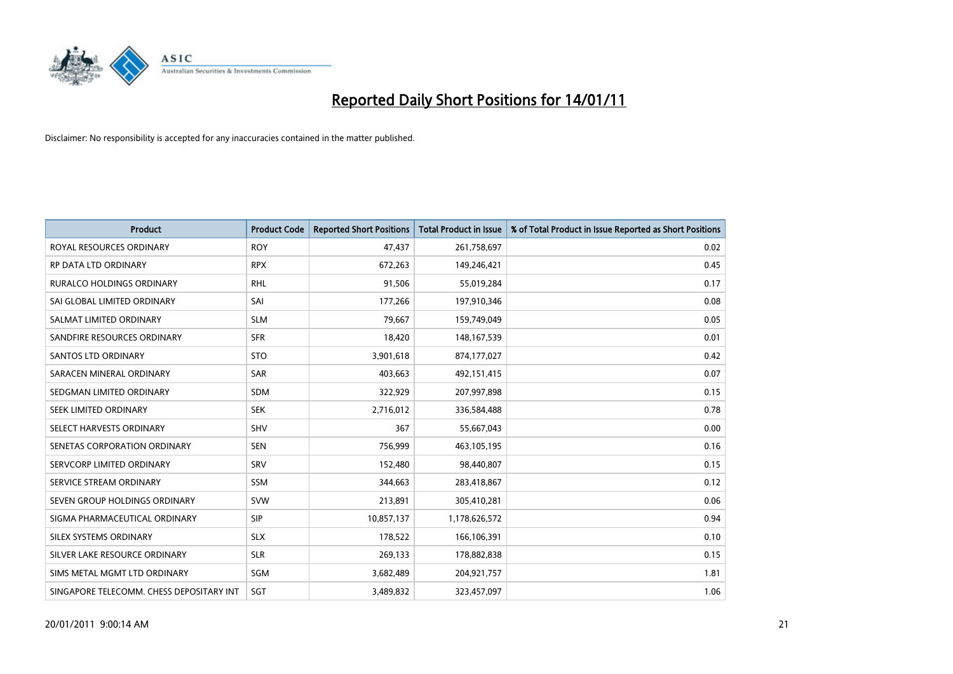

| <b>Product</b>                           | <b>Product Code</b> | <b>Reported Short Positions</b> | <b>Total Product in Issue</b> | % of Total Product in Issue Reported as Short Positions |
|------------------------------------------|---------------------|---------------------------------|-------------------------------|---------------------------------------------------------|
| ROYAL RESOURCES ORDINARY                 | <b>ROY</b>          | 47,437                          | 261,758,697                   | 0.02                                                    |
| RP DATA LTD ORDINARY                     | <b>RPX</b>          | 672,263                         | 149,246,421                   | 0.45                                                    |
| <b>RURALCO HOLDINGS ORDINARY</b>         | <b>RHL</b>          | 91,506                          | 55,019,284                    | 0.17                                                    |
| SAI GLOBAL LIMITED ORDINARY              | SAI                 | 177,266                         | 197,910,346                   | 0.08                                                    |
| SALMAT LIMITED ORDINARY                  | <b>SLM</b>          | 79,667                          | 159,749,049                   | 0.05                                                    |
| SANDFIRE RESOURCES ORDINARY              | <b>SFR</b>          | 18,420                          | 148, 167, 539                 | 0.01                                                    |
| <b>SANTOS LTD ORDINARY</b>               | <b>STO</b>          | 3,901,618                       | 874,177,027                   | 0.42                                                    |
| SARACEN MINERAL ORDINARY                 | <b>SAR</b>          | 403,663                         | 492,151,415                   | 0.07                                                    |
| SEDGMAN LIMITED ORDINARY                 | <b>SDM</b>          | 322,929                         | 207,997,898                   | 0.15                                                    |
| SEEK LIMITED ORDINARY                    | <b>SEK</b>          | 2,716,012                       | 336,584,488                   | 0.78                                                    |
| SELECT HARVESTS ORDINARY                 | SHV                 | 367                             | 55,667,043                    | 0.00                                                    |
| SENETAS CORPORATION ORDINARY             | <b>SEN</b>          | 756,999                         | 463,105,195                   | 0.16                                                    |
| SERVCORP LIMITED ORDINARY                | SRV                 | 152,480                         | 98,440,807                    | 0.15                                                    |
| SERVICE STREAM ORDINARY                  | <b>SSM</b>          | 344,663                         | 283,418,867                   | 0.12                                                    |
| SEVEN GROUP HOLDINGS ORDINARY            | <b>SVW</b>          | 213,891                         | 305,410,281                   | 0.06                                                    |
| SIGMA PHARMACEUTICAL ORDINARY            | <b>SIP</b>          | 10,857,137                      | 1,178,626,572                 | 0.94                                                    |
| SILEX SYSTEMS ORDINARY                   | <b>SLX</b>          | 178,522                         | 166,106,391                   | 0.10                                                    |
| SILVER LAKE RESOURCE ORDINARY            | <b>SLR</b>          | 269,133                         | 178,882,838                   | 0.15                                                    |
| SIMS METAL MGMT LTD ORDINARY             | SGM                 | 3,682,489                       | 204,921,757                   | 1.81                                                    |
| SINGAPORE TELECOMM. CHESS DEPOSITARY INT | SGT                 | 3,489,832                       | 323,457,097                   | 1.06                                                    |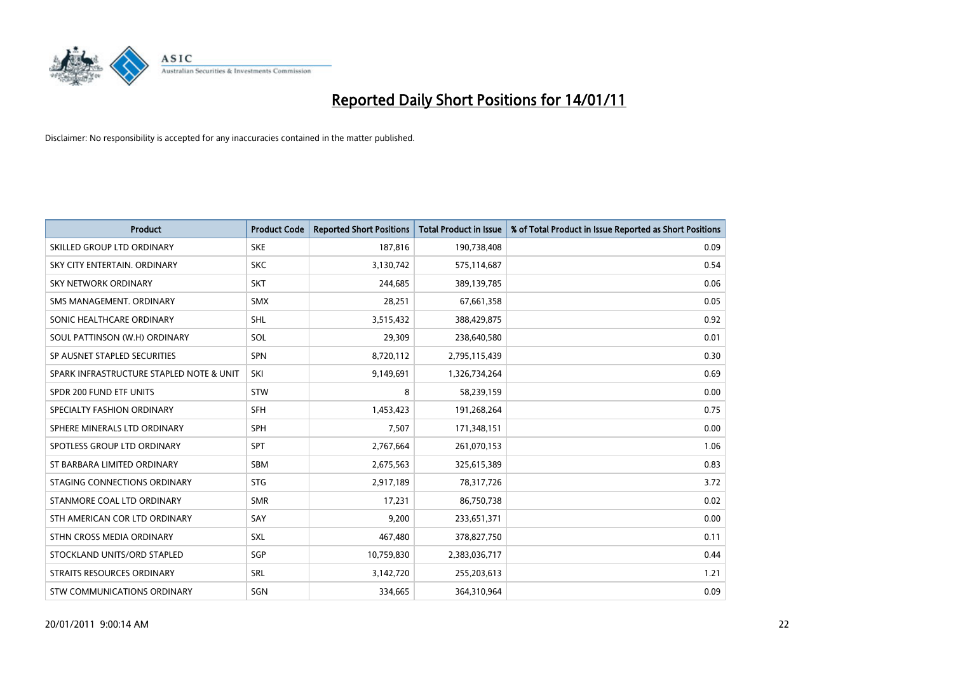

| <b>Product</b>                           | <b>Product Code</b> | <b>Reported Short Positions</b> | <b>Total Product in Issue</b> | % of Total Product in Issue Reported as Short Positions |
|------------------------------------------|---------------------|---------------------------------|-------------------------------|---------------------------------------------------------|
| SKILLED GROUP LTD ORDINARY               | <b>SKE</b>          | 187,816                         | 190,738,408                   | 0.09                                                    |
| SKY CITY ENTERTAIN, ORDINARY             | <b>SKC</b>          | 3,130,742                       | 575,114,687                   | 0.54                                                    |
| <b>SKY NETWORK ORDINARY</b>              | <b>SKT</b>          | 244,685                         | 389,139,785                   | 0.06                                                    |
| SMS MANAGEMENT, ORDINARY                 | <b>SMX</b>          | 28,251                          | 67,661,358                    | 0.05                                                    |
| SONIC HEALTHCARE ORDINARY                | <b>SHL</b>          | 3,515,432                       | 388,429,875                   | 0.92                                                    |
| SOUL PATTINSON (W.H) ORDINARY            | SOL                 | 29,309                          | 238,640,580                   | 0.01                                                    |
| SP AUSNET STAPLED SECURITIES             | SPN                 | 8,720,112                       | 2,795,115,439                 | 0.30                                                    |
| SPARK INFRASTRUCTURE STAPLED NOTE & UNIT | SKI                 | 9,149,691                       | 1,326,734,264                 | 0.69                                                    |
| SPDR 200 FUND ETF UNITS                  | <b>STW</b>          | 8                               | 58,239,159                    | 0.00                                                    |
| SPECIALTY FASHION ORDINARY               | <b>SFH</b>          | 1,453,423                       | 191,268,264                   | 0.75                                                    |
| SPHERE MINERALS LTD ORDINARY             | <b>SPH</b>          | 7,507                           | 171,348,151                   | 0.00                                                    |
| SPOTLESS GROUP LTD ORDINARY              | SPT                 | 2,767,664                       | 261,070,153                   | 1.06                                                    |
| ST BARBARA LIMITED ORDINARY              | SBM                 | 2,675,563                       | 325,615,389                   | 0.83                                                    |
| STAGING CONNECTIONS ORDINARY             | <b>STG</b>          | 2,917,189                       | 78,317,726                    | 3.72                                                    |
| STANMORE COAL LTD ORDINARY               | <b>SMR</b>          | 17.231                          | 86,750,738                    | 0.02                                                    |
| STH AMERICAN COR LTD ORDINARY            | SAY                 | 9,200                           | 233,651,371                   | 0.00                                                    |
| STHN CROSS MEDIA ORDINARY                | SXL                 | 467,480                         | 378,827,750                   | 0.11                                                    |
| STOCKLAND UNITS/ORD STAPLED              | SGP                 | 10,759,830                      | 2,383,036,717                 | 0.44                                                    |
| <b>STRAITS RESOURCES ORDINARY</b>        | SRL                 | 3,142,720                       | 255,203,613                   | 1.21                                                    |
| STW COMMUNICATIONS ORDINARY              | SGN                 | 334,665                         | 364,310,964                   | 0.09                                                    |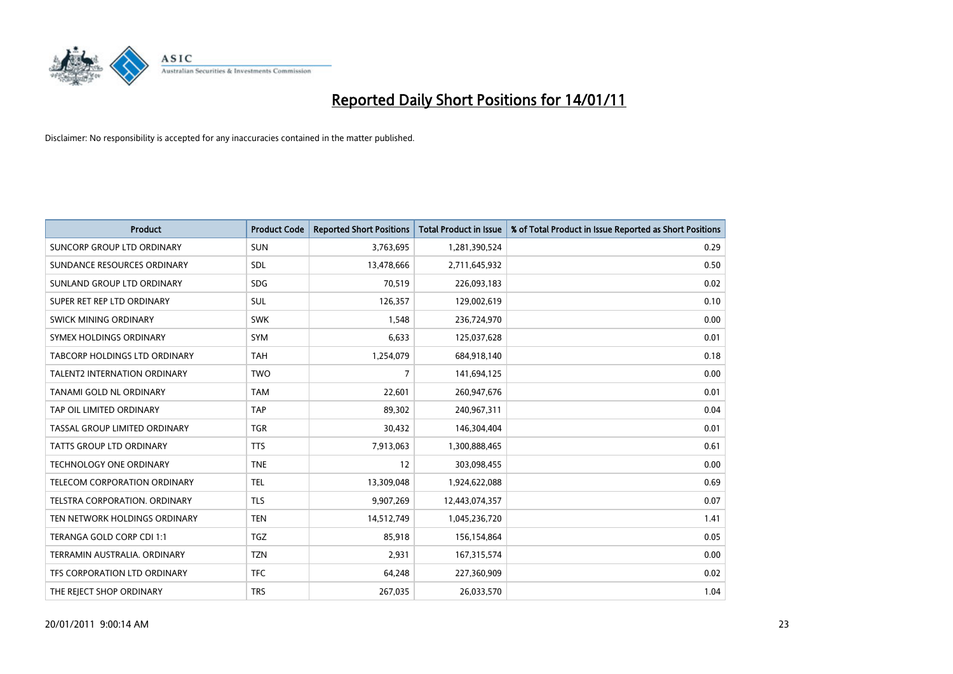

| <b>Product</b>                      | <b>Product Code</b> | <b>Reported Short Positions</b> | <b>Total Product in Issue</b> | % of Total Product in Issue Reported as Short Positions |
|-------------------------------------|---------------------|---------------------------------|-------------------------------|---------------------------------------------------------|
| <b>SUNCORP GROUP LTD ORDINARY</b>   | <b>SUN</b>          | 3,763,695                       | 1,281,390,524                 | 0.29                                                    |
| SUNDANCE RESOURCES ORDINARY         | <b>SDL</b>          | 13,478,666                      | 2,711,645,932                 | 0.50                                                    |
| SUNLAND GROUP LTD ORDINARY          | <b>SDG</b>          | 70.519                          | 226,093,183                   | 0.02                                                    |
| SUPER RET REP LTD ORDINARY          | SUL                 | 126,357                         | 129,002,619                   | 0.10                                                    |
| <b>SWICK MINING ORDINARY</b>        | <b>SWK</b>          | 1,548                           | 236,724,970                   | 0.00                                                    |
| SYMEX HOLDINGS ORDINARY             | <b>SYM</b>          | 6,633                           | 125,037,628                   | 0.01                                                    |
| TABCORP HOLDINGS LTD ORDINARY       | <b>TAH</b>          | 1,254,079                       | 684,918,140                   | 0.18                                                    |
| <b>TALENT2 INTERNATION ORDINARY</b> | <b>TWO</b>          | $\overline{7}$                  | 141,694,125                   | 0.00                                                    |
| <b>TANAMI GOLD NL ORDINARY</b>      | <b>TAM</b>          | 22,601                          | 260,947,676                   | 0.01                                                    |
| TAP OIL LIMITED ORDINARY            | <b>TAP</b>          | 89,302                          | 240,967,311                   | 0.04                                                    |
| TASSAL GROUP LIMITED ORDINARY       | <b>TGR</b>          | 30,432                          | 146,304,404                   | 0.01                                                    |
| <b>TATTS GROUP LTD ORDINARY</b>     | <b>TTS</b>          | 7,913,063                       | 1,300,888,465                 | 0.61                                                    |
| TECHNOLOGY ONE ORDINARY             | <b>TNE</b>          | 12                              | 303,098,455                   | 0.00                                                    |
| TELECOM CORPORATION ORDINARY        | <b>TEL</b>          | 13,309,048                      | 1,924,622,088                 | 0.69                                                    |
| TELSTRA CORPORATION, ORDINARY       | <b>TLS</b>          | 9,907,269                       | 12,443,074,357                | 0.07                                                    |
| TEN NETWORK HOLDINGS ORDINARY       | <b>TEN</b>          | 14,512,749                      | 1,045,236,720                 | 1.41                                                    |
| TERANGA GOLD CORP CDI 1:1           | <b>TGZ</b>          | 85,918                          | 156,154,864                   | 0.05                                                    |
| TERRAMIN AUSTRALIA. ORDINARY        | <b>TZN</b>          | 2,931                           | 167,315,574                   | 0.00                                                    |
| TFS CORPORATION LTD ORDINARY        | <b>TFC</b>          | 64,248                          | 227,360,909                   | 0.02                                                    |
| THE REJECT SHOP ORDINARY            | <b>TRS</b>          | 267,035                         | 26,033,570                    | 1.04                                                    |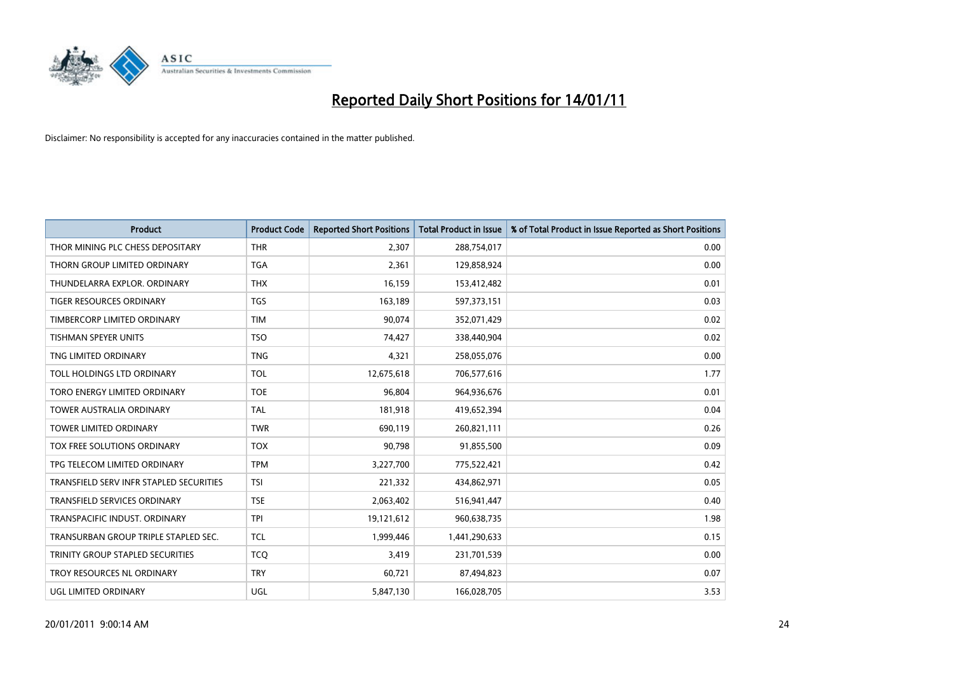

| <b>Product</b>                          | <b>Product Code</b> | <b>Reported Short Positions</b> | Total Product in Issue | % of Total Product in Issue Reported as Short Positions |
|-----------------------------------------|---------------------|---------------------------------|------------------------|---------------------------------------------------------|
| THOR MINING PLC CHESS DEPOSITARY        | <b>THR</b>          | 2,307                           | 288,754,017            | 0.00                                                    |
| THORN GROUP LIMITED ORDINARY            | <b>TGA</b>          | 2,361                           | 129,858,924            | 0.00                                                    |
| THUNDELARRA EXPLOR, ORDINARY            | <b>THX</b>          | 16,159                          | 153,412,482            | 0.01                                                    |
| TIGER RESOURCES ORDINARY                | <b>TGS</b>          | 163,189                         | 597,373,151            | 0.03                                                    |
| TIMBERCORP LIMITED ORDINARY             | <b>TIM</b>          | 90,074                          | 352,071,429            | 0.02                                                    |
| <b>TISHMAN SPEYER UNITS</b>             | <b>TSO</b>          | 74,427                          | 338,440,904            | 0.02                                                    |
| TNG LIMITED ORDINARY                    | <b>TNG</b>          | 4,321                           | 258,055,076            | 0.00                                                    |
| TOLL HOLDINGS LTD ORDINARY              | <b>TOL</b>          | 12,675,618                      | 706,577,616            | 1.77                                                    |
| TORO ENERGY LIMITED ORDINARY            | <b>TOE</b>          | 96,804                          | 964,936,676            | 0.01                                                    |
| <b>TOWER AUSTRALIA ORDINARY</b>         | <b>TAL</b>          | 181,918                         | 419,652,394            | 0.04                                                    |
| TOWER LIMITED ORDINARY                  | <b>TWR</b>          | 690,119                         | 260,821,111            | 0.26                                                    |
| <b>TOX FREE SOLUTIONS ORDINARY</b>      | <b>TOX</b>          | 90,798                          | 91,855,500             | 0.09                                                    |
| TPG TELECOM LIMITED ORDINARY            | <b>TPM</b>          | 3,227,700                       | 775,522,421            | 0.42                                                    |
| TRANSFIELD SERV INFR STAPLED SECURITIES | <b>TSI</b>          | 221,332                         | 434,862,971            | 0.05                                                    |
| <b>TRANSFIELD SERVICES ORDINARY</b>     | <b>TSE</b>          | 2,063,402                       | 516,941,447            | 0.40                                                    |
| TRANSPACIFIC INDUST. ORDINARY           | <b>TPI</b>          | 19,121,612                      | 960,638,735            | 1.98                                                    |
| TRANSURBAN GROUP TRIPLE STAPLED SEC.    | <b>TCL</b>          | 1,999,446                       | 1,441,290,633          | 0.15                                                    |
| TRINITY GROUP STAPLED SECURITIES        | <b>TCQ</b>          | 3,419                           | 231,701,539            | 0.00                                                    |
| TROY RESOURCES NL ORDINARY              | <b>TRY</b>          | 60,721                          | 87,494,823             | 0.07                                                    |
| <b>UGL LIMITED ORDINARY</b>             | UGL                 | 5,847,130                       | 166,028,705            | 3.53                                                    |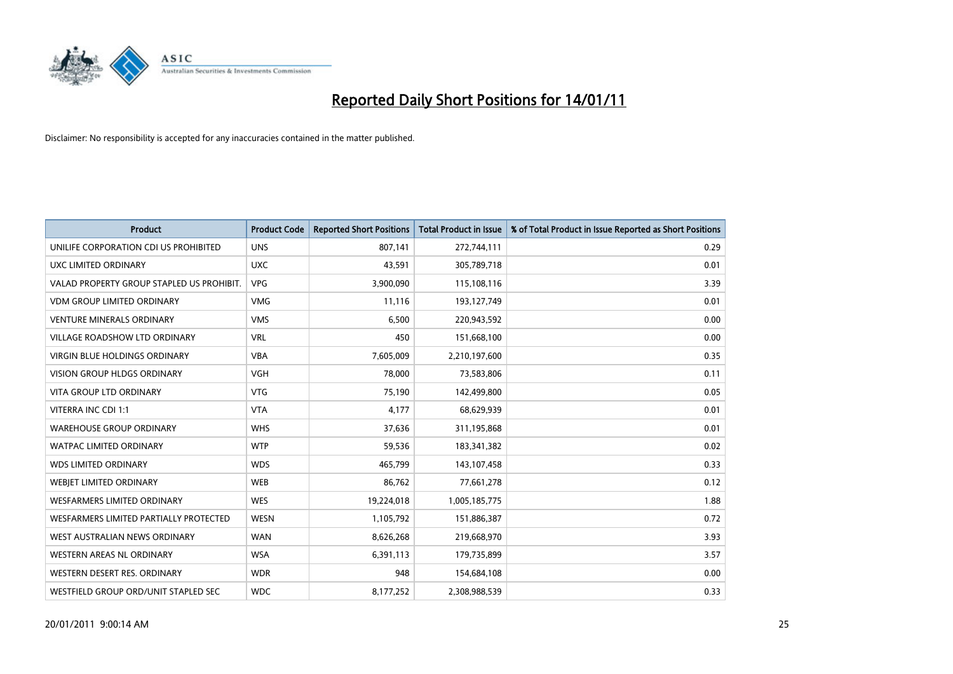

| <b>Product</b>                            | <b>Product Code</b> | <b>Reported Short Positions</b> | <b>Total Product in Issue</b> | % of Total Product in Issue Reported as Short Positions |
|-------------------------------------------|---------------------|---------------------------------|-------------------------------|---------------------------------------------------------|
| UNILIFE CORPORATION CDI US PROHIBITED     | <b>UNS</b>          | 807,141                         | 272,744,111                   | 0.29                                                    |
| UXC LIMITED ORDINARY                      | <b>UXC</b>          | 43,591                          | 305,789,718                   | 0.01                                                    |
| VALAD PROPERTY GROUP STAPLED US PROHIBIT. | <b>VPG</b>          | 3,900,090                       | 115,108,116                   | 3.39                                                    |
| <b>VDM GROUP LIMITED ORDINARY</b>         | <b>VMG</b>          | 11,116                          | 193,127,749                   | 0.01                                                    |
| <b>VENTURE MINERALS ORDINARY</b>          | <b>VMS</b>          | 6,500                           | 220,943,592                   | 0.00                                                    |
| <b>VILLAGE ROADSHOW LTD ORDINARY</b>      | <b>VRL</b>          | 450                             | 151,668,100                   | 0.00                                                    |
| VIRGIN BLUE HOLDINGS ORDINARY             | <b>VBA</b>          | 7,605,009                       | 2,210,197,600                 | 0.35                                                    |
| VISION GROUP HLDGS ORDINARY               | <b>VGH</b>          | 78,000                          | 73,583,806                    | 0.11                                                    |
| <b>VITA GROUP LTD ORDINARY</b>            | <b>VTG</b>          | 75,190                          | 142,499,800                   | 0.05                                                    |
| VITERRA INC CDI 1:1                       | <b>VTA</b>          | 4,177                           | 68,629,939                    | 0.01                                                    |
| <b>WAREHOUSE GROUP ORDINARY</b>           | <b>WHS</b>          | 37,636                          | 311,195,868                   | 0.01                                                    |
| <b>WATPAC LIMITED ORDINARY</b>            | <b>WTP</b>          | 59,536                          | 183,341,382                   | 0.02                                                    |
| <b>WDS LIMITED ORDINARY</b>               | <b>WDS</b>          | 465,799                         | 143,107,458                   | 0.33                                                    |
| WEBIET LIMITED ORDINARY                   | <b>WEB</b>          | 86,762                          | 77,661,278                    | 0.12                                                    |
| <b>WESFARMERS LIMITED ORDINARY</b>        | <b>WES</b>          | 19,224,018                      | 1,005,185,775                 | 1.88                                                    |
| WESFARMERS LIMITED PARTIALLY PROTECTED    | <b>WESN</b>         | 1,105,792                       | 151,886,387                   | 0.72                                                    |
| WEST AUSTRALIAN NEWS ORDINARY             | <b>WAN</b>          | 8,626,268                       | 219,668,970                   | 3.93                                                    |
| <b>WESTERN AREAS NL ORDINARY</b>          | <b>WSA</b>          | 6,391,113                       | 179,735,899                   | 3.57                                                    |
| WESTERN DESERT RES. ORDINARY              | <b>WDR</b>          | 948                             | 154,684,108                   | 0.00                                                    |
| WESTFIELD GROUP ORD/UNIT STAPLED SEC      | <b>WDC</b>          | 8,177,252                       | 2,308,988,539                 | 0.33                                                    |